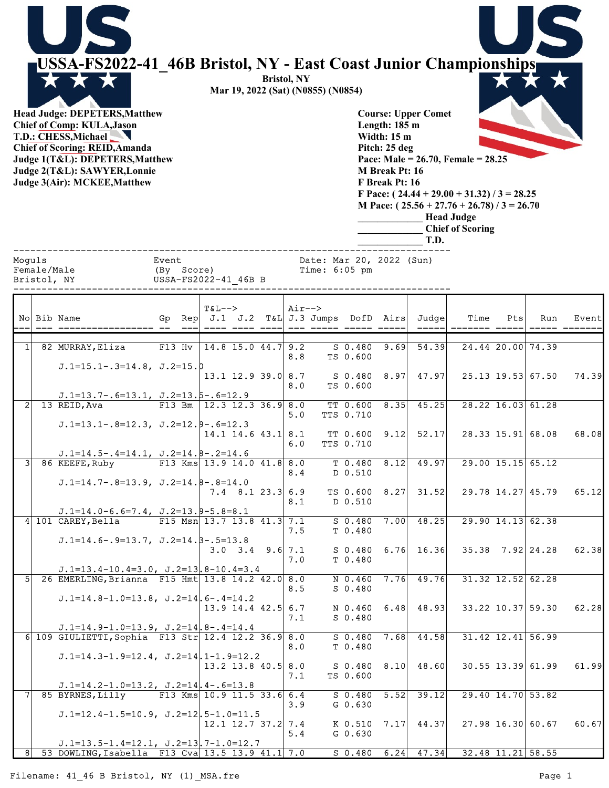|              | USSA-FS2022-41 46B Bristol, NY - East Coast Junior Championships<br><b>Head Judge: DEPETERS, Matthew</b><br>Chief of Comp: KULA, Jason<br>T.D.: CHESS, Michael<br><b>Chief of Scoring: REID, Amanda</b><br>Judge 1(T&L): DEPETERS, Matthew<br>Judge 2(T&L): SAWYER, Lonnie<br>Judge 3(Air): MCKEE, Matthew |                     |          |                              |         |                            | <b>Bristol, NY</b> | Mar 19, 2022 (Sat) (N0855) (N0854)        |                       | Length: $185 \text{ m}$<br>Width: $15 \text{ m}$<br>Pitch: 25 deg<br>M Break Pt: 16<br>F Break Pt: 16 | <b>Course: Upper Comet</b><br>Pace: Male = $26.70$ , Female = $28.25$<br>F Pace: $(24.44 + 29.00 + 31.32) / 3 = 28.25$<br>M Pace: $(25.56 + 27.76 + 26.78)$ / 3 = 26.70<br><b>Head Judge</b><br>T.D. | <b>Chief of Scoring</b> |     |                         |        |
|--------------|------------------------------------------------------------------------------------------------------------------------------------------------------------------------------------------------------------------------------------------------------------------------------------------------------------|---------------------|----------|------------------------------|---------|----------------------------|--------------------|-------------------------------------------|-----------------------|-------------------------------------------------------------------------------------------------------|------------------------------------------------------------------------------------------------------------------------------------------------------------------------------------------------------|-------------------------|-----|-------------------------|--------|
| Moguls       | Female/Male                                                                                                                                                                                                                                                                                                | Event<br>(By Score) |          |                              |         |                            |                    | Date: Mar 20, 2022 (Sun)<br>Time: 6:05 pm |                       |                                                                                                       |                                                                                                                                                                                                      |                         |     |                         |        |
|              | Bristol, NY                                                                                                                                                                                                                                                                                                |                     |          | USSA-FS2022-41 46B B         |         |                            |                    |                                           |                       |                                                                                                       |                                                                                                                                                                                                      |                         |     |                         |        |
|              | No Bib Name                                                                                                                                                                                                                                                                                                | Gp                  | Rep      | $T&L--$                      | J.1 J.2 |                            | $Air--$            | $T&L J.3$ Jumps                           |                       | DofD Airs                                                                                             | Judgel                                                                                                                                                                                               | Time<br>======= =====   | Pts | Run<br>$=====$          | Event  |
| $1\vert$     | 82 MURRAY, Eliza                                                                                                                                                                                                                                                                                           |                     | $F13$ Hv |                              |         | $14.8$ 15.0 44.7 9.2       |                    |                                           | $S$ 0.480             | 9.69                                                                                                  | 54.39                                                                                                                                                                                                |                         |     | 24.44 20.00 74.39       |        |
|              | $J.1=15.1-.3=14.8$ , $J.2=15.0$                                                                                                                                                                                                                                                                            |                     |          |                              |         |                            | 8.8                |                                           | TS 0.600              |                                                                                                       |                                                                                                                                                                                                      |                         |     |                         |        |
|              |                                                                                                                                                                                                                                                                                                            |                     |          |                              |         | $13.1$ $12.9$ $39.0$ $8.7$ | 8.0                |                                           | S 0.480<br>TS 0.600   | 8.97                                                                                                  | 47.97                                                                                                                                                                                                |                         |     | 25.13 19.53 67.50       | 74.39  |
| $\mathbf{2}$ | $J.1=13.7-.6=13.1, J.2=13.5-.6=12.9$<br>13 REID, Ava                                                                                                                                                                                                                                                       |                     | $F13$ Bm |                              |         | $12.3$ 12.3 36.9 8.0       | 5.0                |                                           | TT 0.600<br>TTS 0.710 | 8.35                                                                                                  | 45.25                                                                                                                                                                                                |                         |     | $28.22$ 16.03 61.28     |        |
|              | $J.1=13.1-.8=12.3, J.2=12.9-.6=12.3$                                                                                                                                                                                                                                                                       |                     |          |                              |         | $14.1$ 14.6 43.1 8.1       | 6.0                |                                           | TT 0.600<br>TTS 0.710 | 9.12                                                                                                  | 52.17                                                                                                                                                                                                |                         |     | 28.33 15.91 68.08       | 68.08  |
|              | $J.1=14.5-.4=14.1, J.2=14.8-.2=14.6$<br>86 KEEFE, Ruby                                                                                                                                                                                                                                                     |                     |          | F13 Kms $13.9$ 14.0 41.8 8.0 |         |                            |                    |                                           |                       |                                                                                                       | $T$ 0.480 8.12 49.97                                                                                                                                                                                 |                         |     | $29.00$ $15.15$ $65.12$ |        |
|              | $J.D.=14.7-.8=13.9, J.2=14.8-.8=14.0$                                                                                                                                                                                                                                                                      |                     |          |                              |         |                            | 8.4                |                                           | D 0.510               |                                                                                                       |                                                                                                                                                                                                      |                         |     |                         |        |
|              |                                                                                                                                                                                                                                                                                                            |                     |          |                              |         | $7.4$ 8.1 23.3 6.9         | 8.1                |                                           | D 0.510               |                                                                                                       | TS $0.600$ $8.27$ $31.52$                                                                                                                                                                            |                         |     | $29.78$ 14.27 45.79     | 65.12  |
|              | $J.1=14.0-6.6=7.4$ , $J.2=13.9-5.8=8.1$<br>4 101 CAREY, Bella                                                                                                                                                                                                                                              |                     |          | F15 Msn 13.7 13.8 41.3 7.1   |         |                            | 7.5                |                                           | $S$ 0.480<br>T 0.480  |                                                                                                       | $7.00$ 48.25                                                                                                                                                                                         |                         |     | $29.90$ 14.13 62.38     |        |
|              | $J.D.=14.C-.9=13.7, J.2=14.B-.5=13.8$                                                                                                                                                                                                                                                                      |                     |          |                              |         | $3.0$ $3.4$ $9.6$ 7.1      | 7.0                |                                           | T 0.480               |                                                                                                       | $S$ 0.480 6.76 16.36                                                                                                                                                                                 |                         |     | $35.38$ $7.92$ 24.28    | 62.38L |
|              | $J.1=13.4-10.4=3.0$ , $J.2=13.8-10.4=3.4$                                                                                                                                                                                                                                                                  |                     |          |                              |         |                            |                    |                                           |                       |                                                                                                       |                                                                                                                                                                                                      |                         |     |                         |        |
|              | 5 26 EMERLING, Brianna F15 Hmt 13.8 14.2 42.0 8.0                                                                                                                                                                                                                                                          |                     |          |                              |         |                            | 8.5                |                                           | N 0.460<br>$S$ 0.480  |                                                                                                       | $7.76$ 49.76                                                                                                                                                                                         |                         |     | $31.32$ $12.52$ 62.28   |        |
|              | $J.1=14.8-1.0=13.8$ , $J.2=14.6-.4=14.2$                                                                                                                                                                                                                                                                   |                     |          |                              |         | $13.9$ 14.4 42.5 6.7       | 7.1                |                                           | N 0.460<br>$S_0.480$  |                                                                                                       | $6.48$ 48.93                                                                                                                                                                                         |                         |     | $33.22$ 10.37 59.30     | 62.28  |
|              | $J.1=14.9-1.0=13.9$ , $J.2=14.8-.4=14.4$<br>6 109 GIULIETTI, Sophia F13 Str 12.4 12.2 36.9 8.0                                                                                                                                                                                                             |                     |          |                              |         |                            | 8.0                |                                           | $S$ 0.480<br>T 0.480  |                                                                                                       | $7.68$ 44.58                                                                                                                                                                                         |                         |     | $31.42$ $12.41$ 56.99   |        |
|              | $J.1=14.3-1.9=12.4$ , $J.2=14.1-1.9=12.2$                                                                                                                                                                                                                                                                  |                     |          |                              |         | $13.2$ 13.8 40.5 8.0       |                    |                                           |                       |                                                                                                       | $S$ 0.480 8.10 48.60                                                                                                                                                                                 |                         |     | $30.55$ 13.39 61.99     | 61.99  |
|              | $J.1=14.2-1.0=13.2$ , $J.2=14$ , $4-.6=13.8$                                                                                                                                                                                                                                                               |                     |          |                              |         |                            | 7.1                |                                           | TS 0.600              |                                                                                                       |                                                                                                                                                                                                      |                         |     |                         |        |
|              | 85 BYRNES, Lilly                                                                                                                                                                                                                                                                                           |                     |          | F13 Kms $10.9$ 11.5 33.6 6.4 |         |                            | 3.9                |                                           | $G_0.630$             |                                                                                                       | $S$ 0.480 5.52 39.12                                                                                                                                                                                 |                         |     | 29.40 14.70 53.82       |        |
|              | $J.1=12.4-1.5=10.9$ , $J.2=12.5-1.0=11.5$                                                                                                                                                                                                                                                                  |                     |          |                              |         | $12.1$ $12.7$ $37.2$ $7.4$ | 5.4                |                                           | $G_0.630$             |                                                                                                       | K $0.510$ 7.17 44.37                                                                                                                                                                                 |                         |     | 27.98 16.30 60.67       | 60.67  |
|              | $J.1=13.5-1.4=12.1$ , $J.2=13.7-1.0=12.7$<br>8 53 DOWLING, Isabella F13 Cva 13.5 13.9 41.1 7.0                                                                                                                                                                                                             |                     |          |                              |         |                            |                    |                                           |                       |                                                                                                       | $S$ 0.480 6.24 47.34 32.48 11.21 58.55                                                                                                                                                               |                         |     |                         |        |

Filename: 41\_46 B Bristol, NY (1)\_MSA.fre example and the example of the Page 1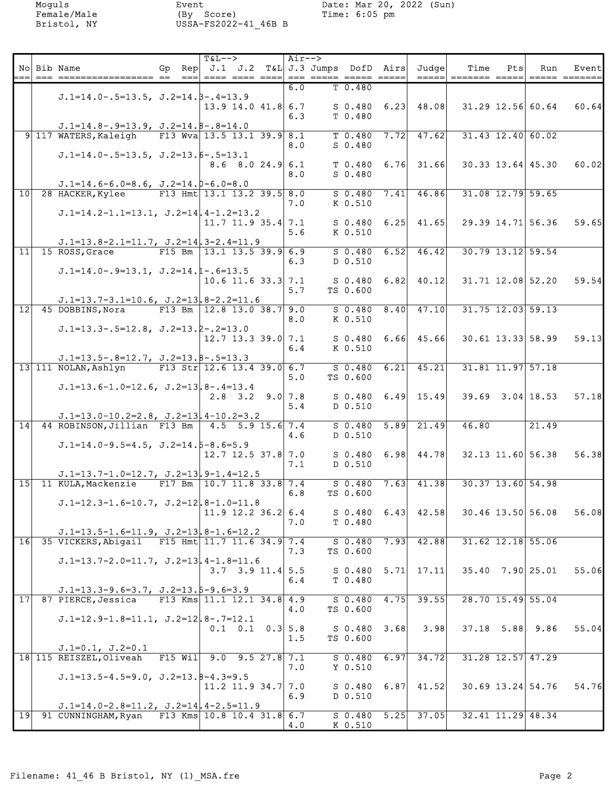|                 | No Bib Name                                                                                      | $=$ $=$ $-$ | $T&L-->$<br>Gp Rep $J.1$ J.2 T&L J.3 Jumps DofD Airs Judge | Air--> |                    |      |                      | Time<br>=====  ======= ===== | Pts | Run                     | Eventl |
|-----------------|--------------------------------------------------------------------------------------------------|-------------|------------------------------------------------------------|--------|--------------------|------|----------------------|------------------------------|-----|-------------------------|--------|
|                 |                                                                                                  |             |                                                            | 6.0    | T <sub>0.480</sub> |      |                      |                              |     |                         |        |
|                 | $J.1=14.0-.5=13.5, J.2=14.5-.4=13.9$                                                             |             | $13.9$ 14.0 41.8 6.7                                       |        |                    |      | $S$ 0.480 6.23 48.08 |                              |     | 31.29 12.56 60.64       | 60.64I |
|                 |                                                                                                  |             |                                                            | 6.3    | T 0.480            |      |                      |                              |     |                         |        |
|                 | $J.D.=14.8-.9=13.9, J.2=14.8-.8=14.0$<br>9 117 WATERS, Kaleigh                                   |             | F13 Wva 13.5 13.1 39.9 8.1                                 |        | $T$ 0.480          |      | $7.72$ 47.62         | $31.43$ $12.40$ 60.02        |     |                         |        |
|                 |                                                                                                  |             |                                                            | 8.0    | $S$ 0.480          |      |                      |                              |     |                         |        |
|                 | $J.1=14.0-.5=13.5$ , $J.2=13.5-.5=13.1$                                                          |             | $8.6$ $8.0$ $24.9$ 6.1                                     |        |                    |      | $T$ 0.480 6.76 31.66 |                              |     | $30.33$ 13.64 45.30     | 60.02L |
|                 |                                                                                                  |             |                                                            | 8.0    | $S$ 0.480          |      |                      |                              |     |                         |        |
| 10              | $J.1=14.6-6.0=8.6$ , $J.2=14.0-6.0=8.0$<br>28 HACKER, Kylee                                      |             | F13 Hmt 13.1 13.2 39.5 8.0                                 |        | $S$ 0.480          |      | $7.41$ 46.86         | $31.08$ $12.79$ 59.65        |     |                         |        |
|                 | $J.1=14.2-1.1=13.1$ , $J.2=14$ , $4-1.2=13.2$                                                    |             |                                                            | 7.0    | K 0.510            |      |                      |                              |     |                         |        |
|                 |                                                                                                  |             | $11.7$ 11.9 35.4 7.1                                       |        | S 0.480            |      | $6.25$ 41.65         |                              |     | 29.39 14.71 56.36       | 59.65I |
|                 |                                                                                                  |             |                                                            | 5.6    | K 0.510            |      |                      |                              |     |                         |        |
|                 | $J.1=13.8-2.1=11.7$ , $J.2=14.3-2.4=11.9$<br>$11$ 15 ROSS, Grace                                 |             | F15 Bm $ 13.1$ 13.5 39.9 6.9                               |        | $S$ 0.480          |      | $6.52$ 46.42         | $30.79$ 13.12 59.54          |     |                         |        |
|                 | $J.1=14.0-.9=13.1, J.2=14.1-.6=13.5$                                                             |             |                                                            | 6.3    | D 0.510            |      |                      |                              |     |                         |        |
|                 |                                                                                                  |             | $10.6$ 11.6 33.3 7.1                                       |        | S 0.480            |      | $6.82$ 40.12         |                              |     | 31.71 12.08 52.20       | 59.54  |
|                 |                                                                                                  |             |                                                            | 5.7    | TS 0.600           |      |                      |                              |     |                         |        |
| $\overline{12}$ | $J.1=13.7-3.1=10.6$ , $J.2=13.8-2.2=11.6$<br>45 DOBBINS, Nora                                    |             | F13 Bm $12.8$ 13.0 38.7 9.0                                |        | $S$ 0.480          | 8.40 | 47.10                | $31.75$ $12.03$ $59.13$      |     |                         |        |
|                 | $J.1=13.3-.5=12.8$ , $J.2=13.2-.2=13.0$                                                          |             |                                                            | 8.0    | K 0.510            |      |                      |                              |     |                         |        |
|                 |                                                                                                  |             | $12.7$ 13.3 39.0 7.1                                       |        |                    |      | $S$ 0.480 6.66 45.66 |                              |     | $30.61$ 13.33 58.99     | 59.13  |
|                 |                                                                                                  |             |                                                            | 6.4    | K 0.510            |      |                      |                              |     |                         |        |
|                 | $J.1=13.5-.8=12.7$ , $J.2=13.8-.5=13.3$<br>13 111 NOLAN, Ashlyn                                  |             | F13 Str $12.6$ 13.4 39.0 6.7                               |        | $S$ 0.480          | 6.21 | 45.21                |                              |     | $31.81$ $11.97$ $57.18$ |        |
|                 |                                                                                                  |             |                                                            | 5.0    | TS 0.600           |      |                      |                              |     |                         |        |
|                 | $J.1=13.6-1.0=12.6$ , $J.2=13.8-.4=13.4$                                                         |             | $2.8$ 3.2 9.0 7.8                                          |        |                    |      | $S$ 0.480 6.49 15.49 |                              |     | $39.69$ $3.04$ 18.53    | 57.18  |
|                 |                                                                                                  |             |                                                            | 5.4    | D 0.510            |      |                      |                              |     |                         |        |
|                 | $J.1=13.0-10.2=2.8$ , $J.2=13$ , $4-10.2=3.2$<br>14 44 ROBINSON, Jillian F13 Bm 4.5 5.9 15.6 7.4 |             |                                                            |        | $S$ 0.480          | 5.89 | 21.49                | 46.80                        |     | 21.49                   |        |
|                 | $J.1=14.0-9.5=4.5$ , $J.2=14.5-8.6=5.9$                                                          |             |                                                            | 4.6    | D 0.510            |      |                      |                              |     |                         |        |
|                 |                                                                                                  |             | $12.7$ $12.5$ $37.8$ 7.0                                   |        | S 0.480            |      | $6.98$ 44.78         |                              |     | 32.13 11.60 56.38       | 56.38  |
|                 |                                                                                                  |             |                                                            | 7.1    | D 0.510            |      |                      |                              |     |                         |        |
|                 | $J.1=13.7-1.0=12.7$ , $J.2=13.9-1.4=12.5$<br>15 11 KULA, Mackenzie                               |             | F17 Bm 10.7 11.8 33.8 7.4                                  |        | $S$ 0.480          | 7.63 | $-41.38$             |                              |     | $30.37$ 13.60 54.98     |        |
|                 | $J.1=12.3-1.6=10.7$ , $J.2=12$ , $8-1.0=11.8$                                                    |             |                                                            | 6.8    | TS 0.600           |      |                      |                              |     |                         |        |
|                 |                                                                                                  |             | $11.9$ 12.2 36.2 6.4                                       |        |                    |      | $S$ 0.480 6.43 42.58 |                              |     | 30.46 13.50 56.08       | 56.08  |
|                 | $J.1=13.5-1.6=11.9$ , $J.2=13.8-1.6=12.2$                                                        |             |                                                            | 7.0    | T 0.480            |      |                      |                              |     |                         |        |
| 16              | 35 VICKERS, Abigail F15 Hmt 11.7 11.6 34.9 7.4                                                   |             |                                                            |        | $S$ 0.480          |      | $7.93$ 42.88         |                              |     | $31.62$ $12.18$ $55.06$ |        |
|                 | $J.1=13.7-2.0=11.7$ , $J.2=13$ , $4-1.8=11.6$                                                    |             |                                                            | 7.3    | TS 0.600           |      |                      |                              |     |                         |        |
|                 |                                                                                                  |             | $3.7$ $3.9$ $11.4$ $5.5$                                   |        |                    |      | $S$ 0.480 5.71 17.11 |                              |     | $35.40$ 7.90 25.01      | 55.06  |
|                 | $J.1=13.3-9.6=3.7$ , $J.2=13.5-9.6=3.9$                                                          |             |                                                            | 6.4    | T 0.480            |      |                      |                              |     |                         |        |
|                 | 17 87 PIERCE, Jessica                                                                            |             | F13 Kms $11.1$ $12.1$ $34.8$ $4.9$                         |        |                    |      | $S$ 0.480 4.75 39.55 |                              |     | 28.70 15.49 55.04       |        |
|                 | $J.1=12.9-1.8=11.1$ , $J.2=12.8-.7=12.1$                                                         |             |                                                            | 4.0    | TS 0.600           |      |                      |                              |     |                         |        |
|                 |                                                                                                  |             | $0.1 \quad 0.1 \quad 0.3 \vert 5.8$                        |        | $S$ 0.480 3.68     |      | 3.98                 |                              |     | $37.18$ 5.88 9.86       | 55.04  |
|                 | $J.1=0.1, J.2=0.1$                                                                               |             |                                                            | 1.5    | TS 0.600           |      |                      |                              |     |                         |        |
|                 | 18 115 REISZEL, Oliveah                                                                          | $F15$ Will  | $9.0$ $9.5$ $27.8$ $7.1$                                   |        | S 0.480            | 6.97 | 34.72                |                              |     | $31.28$ $12.57$ $47.29$ |        |
|                 | $J.1=13.5-4.5=9.0$ , $J.2=13.8-4.3=9.5$                                                          |             |                                                            | 7.0    | Y 0.510            |      |                      |                              |     |                         |        |
|                 |                                                                                                  |             | 11.2 11.9 34.7 7.0                                         |        | S 0.480            |      | $6.87$ 41.52         |                              |     | $30.69$ 13.24 54.76     | 54.76  |
|                 | $J.1=14.0-2.8=11.2$ , $J.2=14$ , $4-2.5=11.9$                                                    |             |                                                            | 6.9    | D 0.510            |      |                      |                              |     |                         |        |
|                 | 19 91 CUNNINGHAM, Ryan F13 Kms 10.8 10.4 31.8 6.7                                                |             |                                                            |        |                    |      | $S$ 0.480 5.25 37.05 |                              |     | 32.41 11.29 48.34       |        |
|                 |                                                                                                  |             |                                                            | 4.0    | K 0.510            |      |                      |                              |     |                         |        |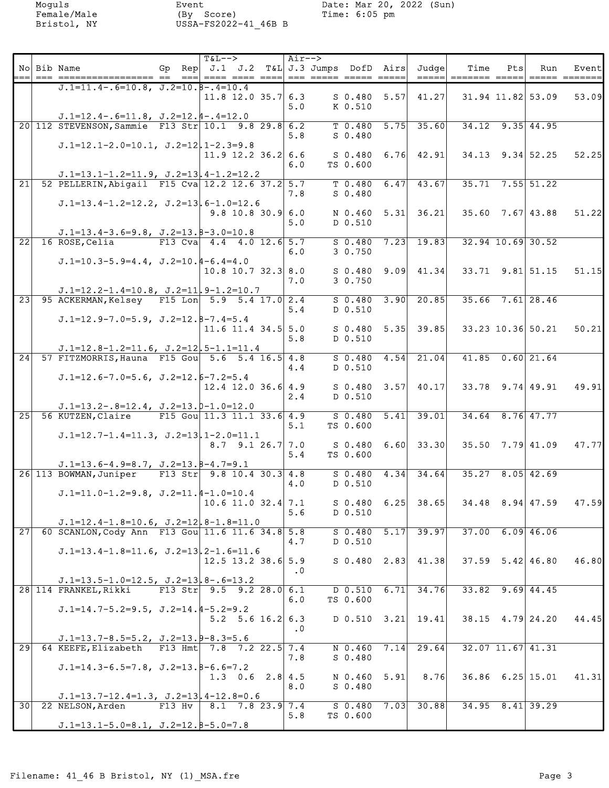|                 | No Bib Name                                                                              | Gp Rep $J.1$ J.2 T&L J.3 Jumps DofD Airs Judge | $T&L--$              |                          | Air-->    |                               |      |                                                                                                                   | Time<br>______ ________ ____                | Pts | Run                  | Event  |
|-----------------|------------------------------------------------------------------------------------------|------------------------------------------------|----------------------|--------------------------|-----------|-------------------------------|------|-------------------------------------------------------------------------------------------------------------------|---------------------------------------------|-----|----------------------|--------|
|                 | $J.1=11.4-.6=10.8$ , $J.2=10.8-.4=10.4$                                                  |                                                |                      |                          |           |                               |      |                                                                                                                   |                                             |     |                      |        |
|                 |                                                                                          |                                                | $11.8$ 12.0 35.7 6.3 |                          | 5.0       | $S \t0.480 \t5.57$<br>K 0.510 |      | 41.27                                                                                                             | 31.94 11.82 53.09                           |     |                      | 53.09  |
|                 | $J.1=12.4-.6=11.8$ , $J.2=12.4-.4=12.0$                                                  |                                                |                      |                          |           |                               |      |                                                                                                                   |                                             |     |                      |        |
|                 | 20 112 STEVENSON, Sammie F13 Str 10.1 9.8 29.8 6.2                                       |                                                |                      |                          |           |                               |      | $T$ 0.480 5.75 35.60                                                                                              | $34.12$ 9.35 44.95                          |     |                      |        |
|                 |                                                                                          |                                                |                      |                          | 5.8       | $S$ 0.480                     |      |                                                                                                                   |                                             |     |                      |        |
|                 | $J.1=12.1-2.0=10.1, J.2=12, 1-2.3=9.8$                                                   |                                                |                      |                          |           |                               |      |                                                                                                                   |                                             |     |                      |        |
|                 |                                                                                          |                                                | $11.9$ 12.2 36.2 6.6 |                          |           |                               |      | $S \t0.480 \t6.76 \t42.91$                                                                                        | $34.13$ $9.34$ $52.25$                      |     |                      | 52.25  |
|                 |                                                                                          |                                                |                      |                          | 6.0       | TS 0.600                      |      |                                                                                                                   |                                             |     |                      |        |
|                 | $J.1=13.1-1.2=11.9$ , $J.2=13$ , $4-1.2=12.2$                                            |                                                |                      |                          |           |                               |      |                                                                                                                   |                                             |     |                      |        |
| $\sqrt{21}$     | 52 PELLERIN, Abigail F15 Cva 12.2 12.6 37.2 5.7                                          |                                                |                      |                          |           | $T$ 0.480 6.47                |      | $-43.67$                                                                                                          | $35.71$ $7.55$ $51.22$                      |     |                      |        |
|                 |                                                                                          |                                                |                      |                          | 7.8       | $S$ 0.480                     |      |                                                                                                                   |                                             |     |                      |        |
|                 | $J.1=13.4-1.2=12.2$ , $J.2=13.6-1.0=12.6$                                                |                                                |                      | $9.8$ 10.8 30.9 6.0      |           |                               |      | $\begin{array}{ c c c c c c c c } \hline \text{N} & \text{0.460} & \text{5.31} & \text{36.21} \hline \end{array}$ | $35.60$ 7.67 43.88                          |     |                      | 51.22  |
|                 |                                                                                          |                                                |                      |                          | 5.0       | D 0.510                       |      |                                                                                                                   |                                             |     |                      |        |
|                 | $J.1=13.4-3.6=9.8$ , $J.2=13.8-3.0=10.8$                                                 |                                                |                      |                          |           |                               |      |                                                                                                                   |                                             |     |                      |        |
| 22              | 16 ROSE, Celia                                                                           | F13 Cva $4.4$ $4.0$ 12.6 5.7                   |                      |                          |           |                               |      | $S$ 0.480 7.23 19.83                                                                                              | $32.94$ 10.69 30.52                         |     |                      |        |
|                 |                                                                                          |                                                |                      |                          | 6.0       | 30.750                        |      |                                                                                                                   |                                             |     |                      |        |
|                 | $J.1=10.3-5.9=4.4$ , $J.2=10.4-6.4=4.0$                                                  |                                                |                      |                          |           |                               |      |                                                                                                                   |                                             |     |                      |        |
|                 |                                                                                          |                                                | $10.8$ 10.7 32.3 8.0 |                          |           |                               |      | $S$ 0.480 9.09 41.34                                                                                              | $33.71$ $9.81$ $51.15$                      |     |                      | 51.15  |
|                 |                                                                                          |                                                |                      |                          | 7.0       | 3 0.750                       |      |                                                                                                                   |                                             |     |                      |        |
|                 | $J.1=12.2-1.4=10.8$ , $J.2=11.9-1.2=10.7$                                                |                                                |                      |                          |           |                               |      |                                                                                                                   |                                             |     |                      |        |
| $\sqrt{23}$     | 95 ACKERMAN, Kelsey F15 Lon 5.9 5.4 17.0 2.4                                             |                                                |                      |                          | 5.4       | D 0.510                       |      | $S$ 0.480 3.90 20.85                                                                                              | $35.66$ $7.61$ 28.46                        |     |                      |        |
|                 | $J.1=12.9-7.0=5.9$ , $J.2=12.8-7.4=5.4$                                                  |                                                |                      |                          |           |                               |      |                                                                                                                   |                                             |     |                      |        |
|                 |                                                                                          |                                                | 11.6 11.4 34.5 $5.0$ |                          |           |                               |      | $S$ 0.480 5.35 39.85                                                                                              | 33.23 10.36 50.21                           |     |                      | 50.21  |
|                 |                                                                                          |                                                |                      |                          | 5.8       | D 0.510                       |      |                                                                                                                   |                                             |     |                      |        |
|                 | $J.1=12.8-1.2=11.6$ , $J.2=12$ , $5-1.1=11.4$                                            |                                                |                      |                          |           |                               |      |                                                                                                                   |                                             |     |                      |        |
| 24              | 57 FITZMORRIS, Hauna F15 Gou 5.6 5.4 16.5 4.8                                            |                                                |                      |                          |           | $S$ 0.480                     | 4.54 | 21.04                                                                                                             | $41.85$ 0.60 21.64                          |     |                      |        |
|                 |                                                                                          |                                                |                      |                          | 4.4       | D 0.510                       |      |                                                                                                                   |                                             |     |                      |        |
|                 | $J.1=12.6-7.0=5.6$ , $J.2=12.6-7.2=5.4$                                                  |                                                |                      |                          |           |                               |      |                                                                                                                   |                                             |     |                      |        |
|                 |                                                                                          |                                                | $12.4$ 12.0 36.6 4.9 |                          |           |                               |      |                                                                                                                   |                                             |     |                      | 49.91l |
|                 |                                                                                          |                                                |                      |                          | 2.4       | D 0.510                       |      |                                                                                                                   |                                             |     |                      |        |
| 25              | $J.1=13.2-.8=12.4$ , $J.2=13.0-1.0=12.0$<br>56 KUTZEN, Claire F15 Gou 11.3 11.1 33.6 4.9 |                                                |                      |                          |           | $S$ 0.480 5.41                |      | 39.01                                                                                                             | $34.64$ $8.76$ $47.77$                      |     |                      |        |
|                 |                                                                                          |                                                |                      |                          | 5.1       | TS 0.600                      |      |                                                                                                                   |                                             |     |                      |        |
|                 | $J.1=12.7-1.4=11.3$ , $J.2=13.1-2.0=11.1$                                                |                                                |                      |                          |           |                               |      |                                                                                                                   |                                             |     |                      |        |
|                 |                                                                                          |                                                |                      | $8.7$ 9.1 26.7 7.0       |           |                               |      |                                                                                                                   | $S$ 0.480 6.60 33.30 35.50 7.79 41.09       |     |                      | 47.77  |
|                 |                                                                                          |                                                |                      |                          | 5.4       | TS 0.600                      |      |                                                                                                                   |                                             |     |                      |        |
|                 | $J.1=13.6-4.9=8.7$ , $J.2=13.8-4.7=9.1$                                                  |                                                |                      |                          |           |                               |      |                                                                                                                   |                                             |     |                      |        |
|                 | 26 113 BOWMAN, Juniper F13 Str 9.8 10.4 30.3 4.8                                         |                                                |                      |                          |           |                               |      | $S$ 0.480 4.34 34.64                                                                                              | $35.27$ 8.05 42.69                          |     |                      |        |
|                 |                                                                                          |                                                |                      |                          | 4.0       | D 0.510                       |      |                                                                                                                   |                                             |     |                      |        |
|                 | $J.I=11.0-1.2=9.8$ , $J.Z=11.4-1.0=10.4$                                                 |                                                |                      | $10.6$ 11.0 32.4 7.1     |           |                               |      |                                                                                                                   | $S$ 0.480 6.25 38.65 34.48 8.94 47.59 47.59 |     |                      |        |
|                 |                                                                                          |                                                |                      |                          | 5.6       | D 0.510                       |      |                                                                                                                   |                                             |     |                      |        |
|                 | $J.1=12.4-1.8=10.6$ , $J.2=12.8-1.8=11.0$                                                |                                                |                      |                          |           |                               |      |                                                                                                                   |                                             |     |                      |        |
| 27              | 60 SCANLON, Cody Ann F13 Gou 11.6 11.6 34.8 5.8                                          |                                                |                      |                          |           | $S$ 0.480 5.17                |      | 39.97                                                                                                             | $37.00$ 6.09 46.06                          |     |                      |        |
|                 |                                                                                          |                                                |                      |                          | 4.7       | D 0.510                       |      |                                                                                                                   |                                             |     |                      |        |
|                 | $J.1=13.4-1.8=11.6$ , $J.2=13.2-1.6=11.6$                                                |                                                |                      |                          |           |                               |      |                                                                                                                   |                                             |     |                      |        |
|                 |                                                                                          |                                                | 12.5 13.2 38.6 5.9   |                          |           |                               |      | $S$ 0.480 2.83 41.38                                                                                              | $37.59$ $5.42$ $46.80$                      |     |                      | 46.80  |
|                 |                                                                                          |                                                |                      |                          | $\cdot$ 0 |                               |      |                                                                                                                   |                                             |     |                      |        |
|                 | $J.1=13.5-1.0=12.5$ , $J.2=13.8-.6=13.2$                                                 |                                                |                      |                          |           |                               |      |                                                                                                                   |                                             |     |                      |        |
|                 | 28 114 FRANKEL, Rikki                                                                    | F13 Str $9.5$ 9.2 28.0 6.1                     |                      |                          | 6.0       | $D$ 0.510<br>TS 0.600         | 6.71 | 34.76                                                                                                             | $33.82$ $9.69$ $44.45$                      |     |                      |        |
|                 | $J.1=14.7-5.2=9.5$ , $J.2=14.4-5.2=9.2$                                                  |                                                |                      |                          |           |                               |      |                                                                                                                   |                                             |     |                      |        |
|                 |                                                                                          |                                                |                      | $5.2$ $5.6$ $16.2$ 6.3   |           |                               |      | $D$ 0.510 3.21 19.41                                                                                              | $38.15$ 4.79 24.20                          |     |                      | 44.45  |
|                 |                                                                                          |                                                |                      |                          | $\cdot$ 0 |                               |      |                                                                                                                   |                                             |     |                      |        |
|                 | $J.1=13.7-8.5=5.2$ , $J.2=13.9-8.3=5.6$                                                  |                                                |                      |                          |           |                               |      |                                                                                                                   |                                             |     |                      |        |
| $\overline{29}$ | 64 KEEFE, Elizabeth F13 Hmt 7.8 7.2 22.5 7.4                                             |                                                |                      |                          |           | $N$ 0.460 7.14                |      | 29.64                                                                                                             | $32.07$ 11.67 41.31                         |     |                      |        |
|                 |                                                                                          |                                                |                      |                          | 7.8       | $S$ 0.480                     |      |                                                                                                                   |                                             |     |                      |        |
|                 | $J.1=14.3-6.5=7.8$ , $J.2=13.8-6.6=7.2$                                                  |                                                |                      |                          |           |                               |      |                                                                                                                   |                                             |     |                      |        |
|                 |                                                                                          |                                                |                      | 1.3 $0.6$ 2.8 4.5        | 8.0       | $N$ 0.460 5.91                |      | 8.76                                                                                                              | $36.86$ $6.25$ 15.01                        |     |                      | 41.31  |
|                 | $J.1=13.7-12.4=1.3$ , $J.2=13$ , $4-12.8=0.6$                                            |                                                |                      |                          |           | $S_0.480$                     |      |                                                                                                                   |                                             |     |                      |        |
|                 | 30 22 NELSON, Arden                                                                      | $F13$ Hv                                       |                      | $8.1$ $7.8$ $23.9$ $7.4$ |           | $S$ 0.480 7.03                |      | 30.88                                                                                                             |                                             |     | $34.95$ $8.41$ 39.29 |        |
|                 |                                                                                          |                                                |                      |                          | 5.8       | TS 0.600                      |      |                                                                                                                   |                                             |     |                      |        |
|                 | $J.1=13.1-5.0=8.1$ , $J.2=12.8-5.0=7.8$                                                  |                                                |                      |                          |           |                               |      |                                                                                                                   |                                             |     |                      |        |
|                 |                                                                                          |                                                |                      |                          |           |                               |      |                                                                                                                   |                                             |     |                      |        |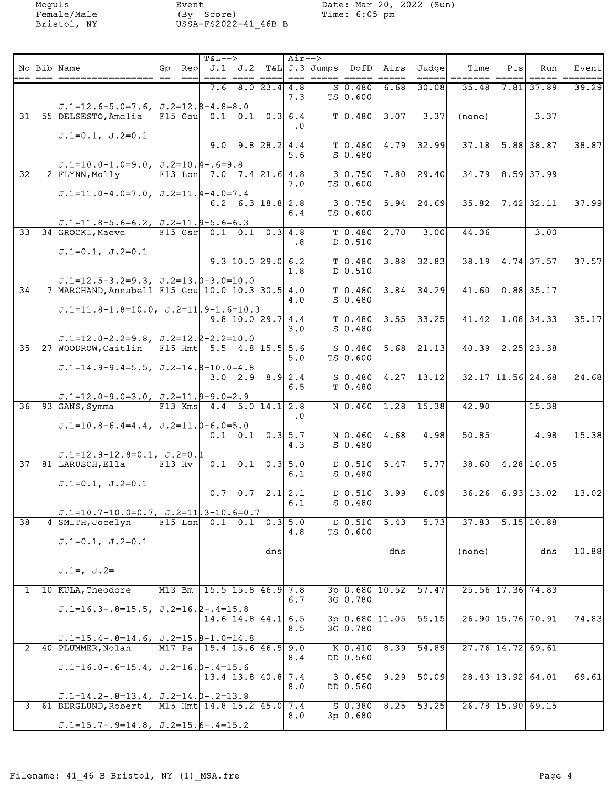| 8.023.4 4.8<br>$S$ 0.480<br>30.08<br>7.6<br>6.68<br>$35.48$ 7.81 37.89<br>39.29<br>7.3<br>TS 0.600<br>$J.1=12.6-5.0=7.6$ , $J.2=12.8-4.8=8.0$<br>31<br>55 DELSESTO, Amelia F15 Gou 0.1 0.1 0.3 6.4<br>$T$ 0.480 3.07<br>3.37<br>3.37<br>(none)<br>$\cdot$ 0<br>$J.1=0.1, J.2=0.1$<br>$9.0$ $9.8$ $28.2$ 4.4<br>$T$ 0.480 4.79 32.99<br>$37.18$ $5.88$ 38.87<br>38.87<br>$S$ 0.480<br>5.6<br>$J.1=10.0-1.0=9.0$ , $J.2=10.4-.6=9.8$<br>$\overline{32}$<br>2 FLYNN, Molly<br>F13 Lon $7.0$ $7.4$ 21.6 4.8<br>$3 \t0.750 \t7.80$<br>29.40<br>34.79 8.59 37.99<br>TS 0.600<br>7.0<br>$J.D.=11.0-4.0=7.0, J.D.=11.4-4.0=7.4$<br>$6.2 \quad 6.3 \quad 18.8 \quad 2.8$<br>$3 \t0.750 \t5.94 \t24.69$<br>$35.82$ $7.42$ $32.11$<br>37.99<br>TS 0.600<br>6.4<br>$J.1=11.8-5.6=6.2$ , $J.2=11.9-5.6=6.3$<br>F15 Gsr $0.1$ 0.1 0.3 4.8<br>33<br>34 GROCKI, Maeve<br>$T$ 0.480<br>2.70<br>3.00<br>44.06<br>3.00<br>$\cdot$ 8<br>D 0.510<br>$J.1=0.1, J.2=0.1$<br>$9.3$ 10.0 29.0 6.2<br>$T$ 0.480 3.88 32.83<br>$38.19$ 4.74 37.57<br>37.57L<br>D 0.510<br>1.8<br>$J.1=12.5-3.2=9.3$ , $J.2=13.0-3.0=10.0$<br>$\overline{34}$<br>$3.84$ $34.29$<br>$41.60$ 0.88 35.17<br>7 MARCHAND, Annabell F15 Gou 10.0 10.3 30.5 4.0<br>T 0.480<br>$S$ 0.480<br>4.0<br>$J.1=11.8-1.8=10.0$ , $J.2=11$ , $9-1.6=10.3$<br>$9.8$ 10.0 29.7 4.4<br>$T$ 0.480 3.55 33.25<br>41.42 1.08 34.33<br>35.17<br>3.0<br>$S_0.480$<br>$J.1=12.0-2.2=9.8$ , $J.2=12.2-2.2=10.0$<br>35 27 WOODROW, Caitlin F15 Hmt 5.5 4.8 15.5 5.6<br>$S$ 0.480 5.68 21.13<br>$40.39$ $2.25$ 23.38<br>TS 0.600<br>5.0<br>$J.1=14.9-9.4=5.5$ , $J.2=14.8-10.0=4.8$<br>3.0 2.9 8.9 2.4<br>$S$ 0.480 4.27 13.12<br>$32.17$ 11.56 24.68<br>24.68<br>T 0.480<br>6.5<br>$J.1=12.0-9.0=3.0$ , $J.2=11.9-9.0=2.9$<br>$\overline{36}$<br>93 GANS, Symma<br>F13 Kms $4.4$ 5.0 14.1 2.8<br>N 0.460 1.28 15.38<br>15.38<br>42.90<br>$\cdot$ 0<br>$J.1=10.8-6.4=4.4$ , $J.2=11.0-6.0=5.0$<br>$0.1$ 0.1 0.3 5.7<br>N 0.460 4.68<br>4.98<br>50.85<br>4.98<br>15.38<br>4.3<br>$S_0.480$<br>$J.1=12.9-12.8=0.1$ , $J.2=0.1$<br>$\overline{37}$<br>81 LARUSCH, Ella<br>$F13$ Hv<br>$0.1$ 0.1 0.3 5.0<br>$D$ 0.510 5.47<br>5.77<br>$38.60$ 4.28 10.05<br>$S$ 0.480<br>6.1<br>$J.1=0.1, J.2=0.1$<br>6.09<br>$0.7 \quad 0.7 \quad 2.1   2.1$<br>$D$ 0.510 3.99<br>$36.26$ 6.93 13.02<br>13.02<br>$S$ 0.480<br>6.1<br>$J.1=10.7-10.0=0.7$ , $J.2=11$ , $3-10.6=0.7$<br>38<br>4 SMITH, Jocelyn<br>F15 Lon $0.1$ 0.1 0.3 5.0<br>$D$ 0.510<br>5.73<br>$37.83$ $5.15$ 10.88<br>5.43<br>TS 0.600<br>4.8<br>$J.1=0.1, J.2=0.1$<br>10.88<br>dns<br>dns<br>(none)<br>dns<br>$J.1=$ , $J.2=$<br>M13 Bm 15.5 15.8 46.9 7.8<br>$3p$ 0.680 10.52<br>57.47<br>25.56 17.36 74.83<br>10 KULA, Theodore<br>$1\vert$<br>3G 0.780<br>6.7<br>$J.1=16.3-.8=15.5$ , $J.2=16.2-.4=15.8$<br>$14.6$ 14.8 44.1 6.5<br>55.15<br>26.90 15.76 70.91<br>74.83<br>$3p$ 0.680 11.05<br>3G 0.780<br>8.5<br>$J.1=15.4-.8=14.6$ , $J.2=15.8-1.0=14.8$<br>40 PLUMMER, Nolan<br>$K$ 0.410 8.39<br>54.89<br>$27.76$ 14.72 69.61<br>M17 Pa   15.4 15.6 46.5 9.0<br>8.4<br>DD 0.560<br>$J.1=16.0-.6=15.4, J.2=16.0-.4=15.6$<br>$13.4$ 13.8 40.8 7.4<br>$3 \t0.650 \t9.29$<br>50.09<br>28.43 13.92 64.01<br>69.61<br>8.0<br>DD 0.560<br>$J.1=14.2-.8=13.4, J.2=14.0-.2=13.8$<br>3 <sup>1</sup><br>$S$ 0.380<br>53.25<br>26.78 15.90 69.15<br>61 BERGLUND, Robert<br>M15 Hmt 14.8 15.2 45.0 7.4<br>8.25 | No Bib Name | Gp Rep $J.1$ J.2 T&L J.3 Jumps DofD Airs Judge<br>$=$ $=$ $-$ | $T&L--$ |  | Air--> | ==== ==== ====  === ===== ===== ===== |  | $=$ $=$ $=$ $=$ $\vdash$ | Time<br>$=$ ====== ===== | Ptsl | Run | Eventl |
|-----------------------------------------------------------------------------------------------------------------------------------------------------------------------------------------------------------------------------------------------------------------------------------------------------------------------------------------------------------------------------------------------------------------------------------------------------------------------------------------------------------------------------------------------------------------------------------------------------------------------------------------------------------------------------------------------------------------------------------------------------------------------------------------------------------------------------------------------------------------------------------------------------------------------------------------------------------------------------------------------------------------------------------------------------------------------------------------------------------------------------------------------------------------------------------------------------------------------------------------------------------------------------------------------------------------------------------------------------------------------------------------------------------------------------------------------------------------------------------------------------------------------------------------------------------------------------------------------------------------------------------------------------------------------------------------------------------------------------------------------------------------------------------------------------------------------------------------------------------------------------------------------------------------------------------------------------------------------------------------------------------------------------------------------------------------------------------------------------------------------------------------------------------------------------------------------------------------------------------------------------------------------------------------------------------------------------------------------------------------------------------------------------------------------------------------------------------------------------------------------------------------------------------------------------------------------------------------------------------------------------------------------------------------------------------------------------------------------------------------------------------------------------------------------------------------------------------------------------------------------------------------------------------------------------------------------------------------------------------------------------------------------------------------------------------------------------------------------------------------------------------------------------------------------------------------------------------------------------------------------------------------------------------------------------------------------------------------------------------------------------------|-------------|---------------------------------------------------------------|---------|--|--------|---------------------------------------|--|--------------------------|--------------------------|------|-----|--------|
|                                                                                                                                                                                                                                                                                                                                                                                                                                                                                                                                                                                                                                                                                                                                                                                                                                                                                                                                                                                                                                                                                                                                                                                                                                                                                                                                                                                                                                                                                                                                                                                                                                                                                                                                                                                                                                                                                                                                                                                                                                                                                                                                                                                                                                                                                                                                                                                                                                                                                                                                                                                                                                                                                                                                                                                                                                                                                                                                                                                                                                                                                                                                                                                                                                                                                                                                                                                   |             |                                                               |         |  |        |                                       |  |                          |                          |      |     |        |
|                                                                                                                                                                                                                                                                                                                                                                                                                                                                                                                                                                                                                                                                                                                                                                                                                                                                                                                                                                                                                                                                                                                                                                                                                                                                                                                                                                                                                                                                                                                                                                                                                                                                                                                                                                                                                                                                                                                                                                                                                                                                                                                                                                                                                                                                                                                                                                                                                                                                                                                                                                                                                                                                                                                                                                                                                                                                                                                                                                                                                                                                                                                                                                                                                                                                                                                                                                                   |             |                                                               |         |  |        |                                       |  |                          |                          |      |     |        |
|                                                                                                                                                                                                                                                                                                                                                                                                                                                                                                                                                                                                                                                                                                                                                                                                                                                                                                                                                                                                                                                                                                                                                                                                                                                                                                                                                                                                                                                                                                                                                                                                                                                                                                                                                                                                                                                                                                                                                                                                                                                                                                                                                                                                                                                                                                                                                                                                                                                                                                                                                                                                                                                                                                                                                                                                                                                                                                                                                                                                                                                                                                                                                                                                                                                                                                                                                                                   |             |                                                               |         |  |        |                                       |  |                          |                          |      |     |        |
|                                                                                                                                                                                                                                                                                                                                                                                                                                                                                                                                                                                                                                                                                                                                                                                                                                                                                                                                                                                                                                                                                                                                                                                                                                                                                                                                                                                                                                                                                                                                                                                                                                                                                                                                                                                                                                                                                                                                                                                                                                                                                                                                                                                                                                                                                                                                                                                                                                                                                                                                                                                                                                                                                                                                                                                                                                                                                                                                                                                                                                                                                                                                                                                                                                                                                                                                                                                   |             |                                                               |         |  |        |                                       |  |                          |                          |      |     |        |
|                                                                                                                                                                                                                                                                                                                                                                                                                                                                                                                                                                                                                                                                                                                                                                                                                                                                                                                                                                                                                                                                                                                                                                                                                                                                                                                                                                                                                                                                                                                                                                                                                                                                                                                                                                                                                                                                                                                                                                                                                                                                                                                                                                                                                                                                                                                                                                                                                                                                                                                                                                                                                                                                                                                                                                                                                                                                                                                                                                                                                                                                                                                                                                                                                                                                                                                                                                                   |             |                                                               |         |  |        |                                       |  |                          |                          |      |     |        |
|                                                                                                                                                                                                                                                                                                                                                                                                                                                                                                                                                                                                                                                                                                                                                                                                                                                                                                                                                                                                                                                                                                                                                                                                                                                                                                                                                                                                                                                                                                                                                                                                                                                                                                                                                                                                                                                                                                                                                                                                                                                                                                                                                                                                                                                                                                                                                                                                                                                                                                                                                                                                                                                                                                                                                                                                                                                                                                                                                                                                                                                                                                                                                                                                                                                                                                                                                                                   |             |                                                               |         |  |        |                                       |  |                          |                          |      |     |        |
|                                                                                                                                                                                                                                                                                                                                                                                                                                                                                                                                                                                                                                                                                                                                                                                                                                                                                                                                                                                                                                                                                                                                                                                                                                                                                                                                                                                                                                                                                                                                                                                                                                                                                                                                                                                                                                                                                                                                                                                                                                                                                                                                                                                                                                                                                                                                                                                                                                                                                                                                                                                                                                                                                                                                                                                                                                                                                                                                                                                                                                                                                                                                                                                                                                                                                                                                                                                   |             |                                                               |         |  |        |                                       |  |                          |                          |      |     |        |
|                                                                                                                                                                                                                                                                                                                                                                                                                                                                                                                                                                                                                                                                                                                                                                                                                                                                                                                                                                                                                                                                                                                                                                                                                                                                                                                                                                                                                                                                                                                                                                                                                                                                                                                                                                                                                                                                                                                                                                                                                                                                                                                                                                                                                                                                                                                                                                                                                                                                                                                                                                                                                                                                                                                                                                                                                                                                                                                                                                                                                                                                                                                                                                                                                                                                                                                                                                                   |             |                                                               |         |  |        |                                       |  |                          |                          |      |     |        |
|                                                                                                                                                                                                                                                                                                                                                                                                                                                                                                                                                                                                                                                                                                                                                                                                                                                                                                                                                                                                                                                                                                                                                                                                                                                                                                                                                                                                                                                                                                                                                                                                                                                                                                                                                                                                                                                                                                                                                                                                                                                                                                                                                                                                                                                                                                                                                                                                                                                                                                                                                                                                                                                                                                                                                                                                                                                                                                                                                                                                                                                                                                                                                                                                                                                                                                                                                                                   |             |                                                               |         |  |        |                                       |  |                          |                          |      |     |        |
|                                                                                                                                                                                                                                                                                                                                                                                                                                                                                                                                                                                                                                                                                                                                                                                                                                                                                                                                                                                                                                                                                                                                                                                                                                                                                                                                                                                                                                                                                                                                                                                                                                                                                                                                                                                                                                                                                                                                                                                                                                                                                                                                                                                                                                                                                                                                                                                                                                                                                                                                                                                                                                                                                                                                                                                                                                                                                                                                                                                                                                                                                                                                                                                                                                                                                                                                                                                   |             |                                                               |         |  |        |                                       |  |                          |                          |      |     |        |
|                                                                                                                                                                                                                                                                                                                                                                                                                                                                                                                                                                                                                                                                                                                                                                                                                                                                                                                                                                                                                                                                                                                                                                                                                                                                                                                                                                                                                                                                                                                                                                                                                                                                                                                                                                                                                                                                                                                                                                                                                                                                                                                                                                                                                                                                                                                                                                                                                                                                                                                                                                                                                                                                                                                                                                                                                                                                                                                                                                                                                                                                                                                                                                                                                                                                                                                                                                                   |             |                                                               |         |  |        |                                       |  |                          |                          |      |     |        |
|                                                                                                                                                                                                                                                                                                                                                                                                                                                                                                                                                                                                                                                                                                                                                                                                                                                                                                                                                                                                                                                                                                                                                                                                                                                                                                                                                                                                                                                                                                                                                                                                                                                                                                                                                                                                                                                                                                                                                                                                                                                                                                                                                                                                                                                                                                                                                                                                                                                                                                                                                                                                                                                                                                                                                                                                                                                                                                                                                                                                                                                                                                                                                                                                                                                                                                                                                                                   |             |                                                               |         |  |        |                                       |  |                          |                          |      |     |        |
|                                                                                                                                                                                                                                                                                                                                                                                                                                                                                                                                                                                                                                                                                                                                                                                                                                                                                                                                                                                                                                                                                                                                                                                                                                                                                                                                                                                                                                                                                                                                                                                                                                                                                                                                                                                                                                                                                                                                                                                                                                                                                                                                                                                                                                                                                                                                                                                                                                                                                                                                                                                                                                                                                                                                                                                                                                                                                                                                                                                                                                                                                                                                                                                                                                                                                                                                                                                   |             |                                                               |         |  |        |                                       |  |                          |                          |      |     |        |
|                                                                                                                                                                                                                                                                                                                                                                                                                                                                                                                                                                                                                                                                                                                                                                                                                                                                                                                                                                                                                                                                                                                                                                                                                                                                                                                                                                                                                                                                                                                                                                                                                                                                                                                                                                                                                                                                                                                                                                                                                                                                                                                                                                                                                                                                                                                                                                                                                                                                                                                                                                                                                                                                                                                                                                                                                                                                                                                                                                                                                                                                                                                                                                                                                                                                                                                                                                                   |             |                                                               |         |  |        |                                       |  |                          |                          |      |     |        |
|                                                                                                                                                                                                                                                                                                                                                                                                                                                                                                                                                                                                                                                                                                                                                                                                                                                                                                                                                                                                                                                                                                                                                                                                                                                                                                                                                                                                                                                                                                                                                                                                                                                                                                                                                                                                                                                                                                                                                                                                                                                                                                                                                                                                                                                                                                                                                                                                                                                                                                                                                                                                                                                                                                                                                                                                                                                                                                                                                                                                                                                                                                                                                                                                                                                                                                                                                                                   |             |                                                               |         |  |        |                                       |  |                          |                          |      |     |        |
|                                                                                                                                                                                                                                                                                                                                                                                                                                                                                                                                                                                                                                                                                                                                                                                                                                                                                                                                                                                                                                                                                                                                                                                                                                                                                                                                                                                                                                                                                                                                                                                                                                                                                                                                                                                                                                                                                                                                                                                                                                                                                                                                                                                                                                                                                                                                                                                                                                                                                                                                                                                                                                                                                                                                                                                                                                                                                                                                                                                                                                                                                                                                                                                                                                                                                                                                                                                   |             |                                                               |         |  |        |                                       |  |                          |                          |      |     |        |
|                                                                                                                                                                                                                                                                                                                                                                                                                                                                                                                                                                                                                                                                                                                                                                                                                                                                                                                                                                                                                                                                                                                                                                                                                                                                                                                                                                                                                                                                                                                                                                                                                                                                                                                                                                                                                                                                                                                                                                                                                                                                                                                                                                                                                                                                                                                                                                                                                                                                                                                                                                                                                                                                                                                                                                                                                                                                                                                                                                                                                                                                                                                                                                                                                                                                                                                                                                                   |             |                                                               |         |  |        |                                       |  |                          |                          |      |     |        |
|                                                                                                                                                                                                                                                                                                                                                                                                                                                                                                                                                                                                                                                                                                                                                                                                                                                                                                                                                                                                                                                                                                                                                                                                                                                                                                                                                                                                                                                                                                                                                                                                                                                                                                                                                                                                                                                                                                                                                                                                                                                                                                                                                                                                                                                                                                                                                                                                                                                                                                                                                                                                                                                                                                                                                                                                                                                                                                                                                                                                                                                                                                                                                                                                                                                                                                                                                                                   |             |                                                               |         |  |        |                                       |  |                          |                          |      |     |        |
|                                                                                                                                                                                                                                                                                                                                                                                                                                                                                                                                                                                                                                                                                                                                                                                                                                                                                                                                                                                                                                                                                                                                                                                                                                                                                                                                                                                                                                                                                                                                                                                                                                                                                                                                                                                                                                                                                                                                                                                                                                                                                                                                                                                                                                                                                                                                                                                                                                                                                                                                                                                                                                                                                                                                                                                                                                                                                                                                                                                                                                                                                                                                                                                                                                                                                                                                                                                   |             |                                                               |         |  |        |                                       |  |                          |                          |      |     |        |
|                                                                                                                                                                                                                                                                                                                                                                                                                                                                                                                                                                                                                                                                                                                                                                                                                                                                                                                                                                                                                                                                                                                                                                                                                                                                                                                                                                                                                                                                                                                                                                                                                                                                                                                                                                                                                                                                                                                                                                                                                                                                                                                                                                                                                                                                                                                                                                                                                                                                                                                                                                                                                                                                                                                                                                                                                                                                                                                                                                                                                                                                                                                                                                                                                                                                                                                                                                                   |             |                                                               |         |  |        |                                       |  |                          |                          |      |     |        |
|                                                                                                                                                                                                                                                                                                                                                                                                                                                                                                                                                                                                                                                                                                                                                                                                                                                                                                                                                                                                                                                                                                                                                                                                                                                                                                                                                                                                                                                                                                                                                                                                                                                                                                                                                                                                                                                                                                                                                                                                                                                                                                                                                                                                                                                                                                                                                                                                                                                                                                                                                                                                                                                                                                                                                                                                                                                                                                                                                                                                                                                                                                                                                                                                                                                                                                                                                                                   |             |                                                               |         |  |        |                                       |  |                          |                          |      |     |        |
|                                                                                                                                                                                                                                                                                                                                                                                                                                                                                                                                                                                                                                                                                                                                                                                                                                                                                                                                                                                                                                                                                                                                                                                                                                                                                                                                                                                                                                                                                                                                                                                                                                                                                                                                                                                                                                                                                                                                                                                                                                                                                                                                                                                                                                                                                                                                                                                                                                                                                                                                                                                                                                                                                                                                                                                                                                                                                                                                                                                                                                                                                                                                                                                                                                                                                                                                                                                   |             |                                                               |         |  |        |                                       |  |                          |                          |      |     |        |
|                                                                                                                                                                                                                                                                                                                                                                                                                                                                                                                                                                                                                                                                                                                                                                                                                                                                                                                                                                                                                                                                                                                                                                                                                                                                                                                                                                                                                                                                                                                                                                                                                                                                                                                                                                                                                                                                                                                                                                                                                                                                                                                                                                                                                                                                                                                                                                                                                                                                                                                                                                                                                                                                                                                                                                                                                                                                                                                                                                                                                                                                                                                                                                                                                                                                                                                                                                                   |             |                                                               |         |  |        |                                       |  |                          |                          |      |     |        |
|                                                                                                                                                                                                                                                                                                                                                                                                                                                                                                                                                                                                                                                                                                                                                                                                                                                                                                                                                                                                                                                                                                                                                                                                                                                                                                                                                                                                                                                                                                                                                                                                                                                                                                                                                                                                                                                                                                                                                                                                                                                                                                                                                                                                                                                                                                                                                                                                                                                                                                                                                                                                                                                                                                                                                                                                                                                                                                                                                                                                                                                                                                                                                                                                                                                                                                                                                                                   |             |                                                               |         |  |        |                                       |  |                          |                          |      |     |        |
|                                                                                                                                                                                                                                                                                                                                                                                                                                                                                                                                                                                                                                                                                                                                                                                                                                                                                                                                                                                                                                                                                                                                                                                                                                                                                                                                                                                                                                                                                                                                                                                                                                                                                                                                                                                                                                                                                                                                                                                                                                                                                                                                                                                                                                                                                                                                                                                                                                                                                                                                                                                                                                                                                                                                                                                                                                                                                                                                                                                                                                                                                                                                                                                                                                                                                                                                                                                   |             |                                                               |         |  |        |                                       |  |                          |                          |      |     |        |
|                                                                                                                                                                                                                                                                                                                                                                                                                                                                                                                                                                                                                                                                                                                                                                                                                                                                                                                                                                                                                                                                                                                                                                                                                                                                                                                                                                                                                                                                                                                                                                                                                                                                                                                                                                                                                                                                                                                                                                                                                                                                                                                                                                                                                                                                                                                                                                                                                                                                                                                                                                                                                                                                                                                                                                                                                                                                                                                                                                                                                                                                                                                                                                                                                                                                                                                                                                                   |             |                                                               |         |  |        |                                       |  |                          |                          |      |     |        |
|                                                                                                                                                                                                                                                                                                                                                                                                                                                                                                                                                                                                                                                                                                                                                                                                                                                                                                                                                                                                                                                                                                                                                                                                                                                                                                                                                                                                                                                                                                                                                                                                                                                                                                                                                                                                                                                                                                                                                                                                                                                                                                                                                                                                                                                                                                                                                                                                                                                                                                                                                                                                                                                                                                                                                                                                                                                                                                                                                                                                                                                                                                                                                                                                                                                                                                                                                                                   |             |                                                               |         |  |        |                                       |  |                          |                          |      |     |        |
|                                                                                                                                                                                                                                                                                                                                                                                                                                                                                                                                                                                                                                                                                                                                                                                                                                                                                                                                                                                                                                                                                                                                                                                                                                                                                                                                                                                                                                                                                                                                                                                                                                                                                                                                                                                                                                                                                                                                                                                                                                                                                                                                                                                                                                                                                                                                                                                                                                                                                                                                                                                                                                                                                                                                                                                                                                                                                                                                                                                                                                                                                                                                                                                                                                                                                                                                                                                   |             |                                                               |         |  |        |                                       |  |                          |                          |      |     |        |
|                                                                                                                                                                                                                                                                                                                                                                                                                                                                                                                                                                                                                                                                                                                                                                                                                                                                                                                                                                                                                                                                                                                                                                                                                                                                                                                                                                                                                                                                                                                                                                                                                                                                                                                                                                                                                                                                                                                                                                                                                                                                                                                                                                                                                                                                                                                                                                                                                                                                                                                                                                                                                                                                                                                                                                                                                                                                                                                                                                                                                                                                                                                                                                                                                                                                                                                                                                                   |             |                                                               |         |  |        |                                       |  |                          |                          |      |     |        |
|                                                                                                                                                                                                                                                                                                                                                                                                                                                                                                                                                                                                                                                                                                                                                                                                                                                                                                                                                                                                                                                                                                                                                                                                                                                                                                                                                                                                                                                                                                                                                                                                                                                                                                                                                                                                                                                                                                                                                                                                                                                                                                                                                                                                                                                                                                                                                                                                                                                                                                                                                                                                                                                                                                                                                                                                                                                                                                                                                                                                                                                                                                                                                                                                                                                                                                                                                                                   |             |                                                               |         |  |        |                                       |  |                          |                          |      |     |        |
|                                                                                                                                                                                                                                                                                                                                                                                                                                                                                                                                                                                                                                                                                                                                                                                                                                                                                                                                                                                                                                                                                                                                                                                                                                                                                                                                                                                                                                                                                                                                                                                                                                                                                                                                                                                                                                                                                                                                                                                                                                                                                                                                                                                                                                                                                                                                                                                                                                                                                                                                                                                                                                                                                                                                                                                                                                                                                                                                                                                                                                                                                                                                                                                                                                                                                                                                                                                   |             |                                                               |         |  |        |                                       |  |                          |                          |      |     |        |
|                                                                                                                                                                                                                                                                                                                                                                                                                                                                                                                                                                                                                                                                                                                                                                                                                                                                                                                                                                                                                                                                                                                                                                                                                                                                                                                                                                                                                                                                                                                                                                                                                                                                                                                                                                                                                                                                                                                                                                                                                                                                                                                                                                                                                                                                                                                                                                                                                                                                                                                                                                                                                                                                                                                                                                                                                                                                                                                                                                                                                                                                                                                                                                                                                                                                                                                                                                                   |             |                                                               |         |  |        |                                       |  |                          |                          |      |     |        |
|                                                                                                                                                                                                                                                                                                                                                                                                                                                                                                                                                                                                                                                                                                                                                                                                                                                                                                                                                                                                                                                                                                                                                                                                                                                                                                                                                                                                                                                                                                                                                                                                                                                                                                                                                                                                                                                                                                                                                                                                                                                                                                                                                                                                                                                                                                                                                                                                                                                                                                                                                                                                                                                                                                                                                                                                                                                                                                                                                                                                                                                                                                                                                                                                                                                                                                                                                                                   |             |                                                               |         |  |        |                                       |  |                          |                          |      |     |        |
|                                                                                                                                                                                                                                                                                                                                                                                                                                                                                                                                                                                                                                                                                                                                                                                                                                                                                                                                                                                                                                                                                                                                                                                                                                                                                                                                                                                                                                                                                                                                                                                                                                                                                                                                                                                                                                                                                                                                                                                                                                                                                                                                                                                                                                                                                                                                                                                                                                                                                                                                                                                                                                                                                                                                                                                                                                                                                                                                                                                                                                                                                                                                                                                                                                                                                                                                                                                   |             |                                                               |         |  |        |                                       |  |                          |                          |      |     |        |
|                                                                                                                                                                                                                                                                                                                                                                                                                                                                                                                                                                                                                                                                                                                                                                                                                                                                                                                                                                                                                                                                                                                                                                                                                                                                                                                                                                                                                                                                                                                                                                                                                                                                                                                                                                                                                                                                                                                                                                                                                                                                                                                                                                                                                                                                                                                                                                                                                                                                                                                                                                                                                                                                                                                                                                                                                                                                                                                                                                                                                                                                                                                                                                                                                                                                                                                                                                                   |             |                                                               |         |  |        |                                       |  |                          |                          |      |     |        |
|                                                                                                                                                                                                                                                                                                                                                                                                                                                                                                                                                                                                                                                                                                                                                                                                                                                                                                                                                                                                                                                                                                                                                                                                                                                                                                                                                                                                                                                                                                                                                                                                                                                                                                                                                                                                                                                                                                                                                                                                                                                                                                                                                                                                                                                                                                                                                                                                                                                                                                                                                                                                                                                                                                                                                                                                                                                                                                                                                                                                                                                                                                                                                                                                                                                                                                                                                                                   |             |                                                               |         |  |        |                                       |  |                          |                          |      |     |        |
|                                                                                                                                                                                                                                                                                                                                                                                                                                                                                                                                                                                                                                                                                                                                                                                                                                                                                                                                                                                                                                                                                                                                                                                                                                                                                                                                                                                                                                                                                                                                                                                                                                                                                                                                                                                                                                                                                                                                                                                                                                                                                                                                                                                                                                                                                                                                                                                                                                                                                                                                                                                                                                                                                                                                                                                                                                                                                                                                                                                                                                                                                                                                                                                                                                                                                                                                                                                   |             |                                                               |         |  |        |                                       |  |                          |                          |      |     |        |
|                                                                                                                                                                                                                                                                                                                                                                                                                                                                                                                                                                                                                                                                                                                                                                                                                                                                                                                                                                                                                                                                                                                                                                                                                                                                                                                                                                                                                                                                                                                                                                                                                                                                                                                                                                                                                                                                                                                                                                                                                                                                                                                                                                                                                                                                                                                                                                                                                                                                                                                                                                                                                                                                                                                                                                                                                                                                                                                                                                                                                                                                                                                                                                                                                                                                                                                                                                                   |             |                                                               |         |  |        |                                       |  |                          |                          |      |     |        |
|                                                                                                                                                                                                                                                                                                                                                                                                                                                                                                                                                                                                                                                                                                                                                                                                                                                                                                                                                                                                                                                                                                                                                                                                                                                                                                                                                                                                                                                                                                                                                                                                                                                                                                                                                                                                                                                                                                                                                                                                                                                                                                                                                                                                                                                                                                                                                                                                                                                                                                                                                                                                                                                                                                                                                                                                                                                                                                                                                                                                                                                                                                                                                                                                                                                                                                                                                                                   |             |                                                               |         |  |        |                                       |  |                          |                          |      |     |        |
|                                                                                                                                                                                                                                                                                                                                                                                                                                                                                                                                                                                                                                                                                                                                                                                                                                                                                                                                                                                                                                                                                                                                                                                                                                                                                                                                                                                                                                                                                                                                                                                                                                                                                                                                                                                                                                                                                                                                                                                                                                                                                                                                                                                                                                                                                                                                                                                                                                                                                                                                                                                                                                                                                                                                                                                                                                                                                                                                                                                                                                                                                                                                                                                                                                                                                                                                                                                   |             |                                                               |         |  |        |                                       |  |                          |                          |      |     |        |
|                                                                                                                                                                                                                                                                                                                                                                                                                                                                                                                                                                                                                                                                                                                                                                                                                                                                                                                                                                                                                                                                                                                                                                                                                                                                                                                                                                                                                                                                                                                                                                                                                                                                                                                                                                                                                                                                                                                                                                                                                                                                                                                                                                                                                                                                                                                                                                                                                                                                                                                                                                                                                                                                                                                                                                                                                                                                                                                                                                                                                                                                                                                                                                                                                                                                                                                                                                                   |             |                                                               |         |  |        |                                       |  |                          |                          |      |     |        |
|                                                                                                                                                                                                                                                                                                                                                                                                                                                                                                                                                                                                                                                                                                                                                                                                                                                                                                                                                                                                                                                                                                                                                                                                                                                                                                                                                                                                                                                                                                                                                                                                                                                                                                                                                                                                                                                                                                                                                                                                                                                                                                                                                                                                                                                                                                                                                                                                                                                                                                                                                                                                                                                                                                                                                                                                                                                                                                                                                                                                                                                                                                                                                                                                                                                                                                                                                                                   |             |                                                               |         |  |        |                                       |  |                          |                          |      |     |        |
|                                                                                                                                                                                                                                                                                                                                                                                                                                                                                                                                                                                                                                                                                                                                                                                                                                                                                                                                                                                                                                                                                                                                                                                                                                                                                                                                                                                                                                                                                                                                                                                                                                                                                                                                                                                                                                                                                                                                                                                                                                                                                                                                                                                                                                                                                                                                                                                                                                                                                                                                                                                                                                                                                                                                                                                                                                                                                                                                                                                                                                                                                                                                                                                                                                                                                                                                                                                   |             |                                                               |         |  |        |                                       |  |                          |                          |      |     |        |
| 8.0<br>3p 0.680                                                                                                                                                                                                                                                                                                                                                                                                                                                                                                                                                                                                                                                                                                                                                                                                                                                                                                                                                                                                                                                                                                                                                                                                                                                                                                                                                                                                                                                                                                                                                                                                                                                                                                                                                                                                                                                                                                                                                                                                                                                                                                                                                                                                                                                                                                                                                                                                                                                                                                                                                                                                                                                                                                                                                                                                                                                                                                                                                                                                                                                                                                                                                                                                                                                                                                                                                                   |             |                                                               |         |  |        |                                       |  |                          |                          |      |     |        |
| $J.1=15.7-.9=14.8, J.2=15.5-.4=15.2$                                                                                                                                                                                                                                                                                                                                                                                                                                                                                                                                                                                                                                                                                                                                                                                                                                                                                                                                                                                                                                                                                                                                                                                                                                                                                                                                                                                                                                                                                                                                                                                                                                                                                                                                                                                                                                                                                                                                                                                                                                                                                                                                                                                                                                                                                                                                                                                                                                                                                                                                                                                                                                                                                                                                                                                                                                                                                                                                                                                                                                                                                                                                                                                                                                                                                                                                              |             |                                                               |         |  |        |                                       |  |                          |                          |      |     |        |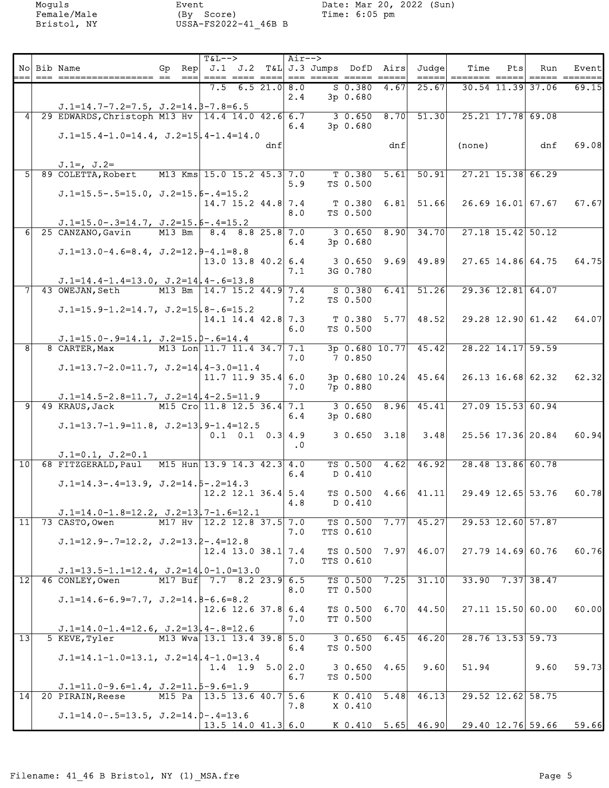|                 | No Bib Name                                                      | Gp Rep $J.1$ J.2 T&L J.3 Jumps DofD Airs<br>$=$ $=$ $=$ $\pm$ | $T&L-->$<br>$====$ |                          |     | Air--><br>$==$ | ===== ===== ===== |            |                             | Judge<br>$=$ $=$ $=$ $=$ $=$ $\vert$ | Time<br>======= =====                        | Ptsl | Run                  | Event<br>===== ====== |
|-----------------|------------------------------------------------------------------|---------------------------------------------------------------|--------------------|--------------------------|-----|----------------|-------------------|------------|-----------------------------|--------------------------------------|----------------------------------------------|------|----------------------|-----------------------|
|                 |                                                                  |                                                               | 7.5                | 6.521.018.0              |     |                |                   | $S$ 0.380  | 4.67                        | 25.67                                |                                              |      | 30.54 11.39 37.06    | 69.15                 |
|                 | $J.1=14.7-7.2=7.5$ , $J.2=14.5-7.8=6.5$                          |                                                               |                    |                          |     | 2.4            |                   | $3p$ 0.680 |                             |                                      |                                              |      |                      |                       |
|                 | 29 EDWARDS, Christoph M13 Hv   14.4 14.0 42.6 6.7                |                                                               |                    |                          |     |                |                   | 30.650     | 8.70                        | 51.30                                |                                              |      | $25.21$ 17.78 69.08  |                       |
|                 | $J.1=15.4-1.0=14.4$ , $J.2=15$ , $4-1.4=14.0$                    |                                                               |                    |                          |     | 6.4            |                   | 3p 0.680   |                             |                                      |                                              |      |                      |                       |
|                 |                                                                  |                                                               |                    |                          | dnf |                |                   |            | dnf                         |                                      | (none)                                       |      | dnf                  | 69.08                 |
|                 | $J.1 =$ , $J.2 =$                                                |                                                               |                    |                          |     |                |                   |            |                             |                                      |                                              |      |                      |                       |
| 5 <sup>1</sup>  | 89 COLETTA, Robert                                               | M13 Kms 15.0 15.2 45.3 7.0                                    |                    |                          |     |                |                   | $T$ 0.380  | 5.61                        | 50.91                                |                                              |      | $27.21$ 15.38 66.29  |                       |
|                 | $J.1=15.5-.5=15.0$ , $J.2=15.6-.4=15.2$                          |                                                               |                    |                          |     | 5.9            |                   | TS 0.500   |                             |                                      |                                              |      |                      |                       |
|                 |                                                                  |                                                               |                    | $14.7$ 15.2 44.8 7.4     |     |                |                   | T 0.380    |                             | $6.81$ 51.66                         |                                              |      | $26.69$ 16.01 67.67  | 67.67                 |
|                 | $J.1=15.0-.3=14.7$ , $J.2=15.5-.4=15.2$                          |                                                               |                    |                          |     | 8.0            |                   | TS 0.500   |                             |                                      |                                              |      |                      |                       |
| 6 <sup>1</sup>  | 25 CANZANO, Gavin                                                | M13 Bm                                                        |                    | $8.4$ $8.8$ $25.8$ $7.0$ |     |                |                   | 30.650     | 8.90                        | 34.70                                |                                              |      | $27.18$ 15.42 50.12  |                       |
|                 | $J.1=13.0-4.6=8.4$ , $J.2=12.9-4.1=8.8$                          |                                                               |                    |                          |     | 6.4            |                   | $3p$ 0.680 |                             |                                      |                                              |      |                      |                       |
|                 |                                                                  |                                                               |                    | $13.0$ 13.8 40.2 6.4     |     |                |                   | 3 0.650    |                             | $9.69$ 49.89                         |                                              |      | 27.65 14.86 64.75    | 64.75                 |
|                 | $J.1=14.4-1.4=13.0$ , $J.2=14$ , $4-.6=13.8$                     |                                                               |                    |                          |     | 7.1            |                   | 3G 0.780   |                             |                                      |                                              |      |                      |                       |
|                 | 43 OWEJAN, Seth                                                  | M13 Bm   14.7 15.2 44.9 7.4                                   |                    |                          |     |                |                   | $S$ 0.380  | 6.41                        | 51.26                                |                                              |      | $29.36$ 12.81 64.07  |                       |
|                 | $J.1=15.9-1.2=14.7$ , $J.2=15$ , $8-.6=15.2$                     |                                                               |                    |                          |     | 7.2            |                   | TS 0.500   |                             |                                      |                                              |      |                      |                       |
|                 |                                                                  |                                                               |                    | $14.1$ 14.4 42.8 7.3     |     |                |                   |            | $T$ 0.380 5.77              | 48.52                                |                                              |      | 29.28 12.90 61.42    | 64.07                 |
|                 | $J.1=15.0-.9=14.1, J.2=15.0-.6=14.4$                             |                                                               |                    |                          |     | 6.0            |                   | TS 0.500   |                             |                                      |                                              |      |                      |                       |
| $\overline{8}$  | 8 CARTER, Max                                                    | M13 Lon 11.7 11.4 34.7 7.1                                    |                    |                          |     |                |                   |            | $\overline{3p}$ 0.680 10.77 | 45.42                                |                                              |      | 28.22 14.17 59.59    |                       |
|                 | $J.1=13.7-2.0=11.7$ , $J.2=14$ , $4-3.0=11.4$                    |                                                               |                    |                          |     | 7.0            |                   | 7 0.850    |                             |                                      |                                              |      |                      |                       |
|                 |                                                                  |                                                               |                    | $11.7$ 11.9 35.4 6.0     |     |                |                   |            | 3p 0.680 10.24              | 45.64                                |                                              |      | 26.13 16.68 62.32    | 62.32                 |
|                 |                                                                  |                                                               |                    |                          |     | 7.0            |                   | 7p 0.880   |                             |                                      |                                              |      |                      |                       |
| ञ               | $J.1=14.5-2.8=11.7$ , $J.2=14$ , $4-2.5=11.9$<br>49 KRAUS, Jack  | M15 Cro 11.8 12.5 36.4 7.1                                    |                    |                          |     |                |                   | 30.650     | 8.96                        | 45.41                                |                                              |      | $27.09$ 15.53 60.94  |                       |
|                 |                                                                  |                                                               |                    |                          |     | 6.4            |                   | 3p 0.680   |                             |                                      |                                              |      |                      |                       |
|                 | $J.1=13.7-1.9=11.8$ , $J.2=13.9-1.4=12.5$                        |                                                               |                    | $0.1$ 0.1 0.3 4.9        |     |                |                   |            | $3 \t0.650 \t3.18$          | 3.48                                 |                                              |      | 25.56 17.36 20.84    | 60.94                 |
|                 |                                                                  |                                                               |                    |                          |     | $\cdot$ 0      |                   |            |                             |                                      |                                              |      |                      |                       |
| 10              | $J.1=0.1, J.2=0.1$<br>68 FITZGERALD, Paul                        | M15 Hun 13.9 14.3 42.3 4.0                                    |                    |                          |     |                |                   | TS 0.500   | 4.62                        | 46.92                                |                                              |      | 28.48 13.86 60.78    |                       |
|                 |                                                                  |                                                               |                    |                          |     | 6.4            |                   | D 0.410    |                             |                                      |                                              |      |                      |                       |
|                 | $J.1=14.3-.4=13.9, J.2=14.5-.2=14.3$                             |                                                               |                    | $12.2$ 12.1 36.4 5.4     |     |                |                   |            |                             | TS $0.500 \quad 4.66$ $41.11$        |                                              |      | 29.49 12.65 53.76    | 60.78                 |
|                 |                                                                  |                                                               |                    |                          |     | 4.8            |                   | D 0.410    |                             |                                      |                                              |      |                      |                       |
| 11              | $J.1=14.0-1.8=12.2$ , $J.2=13$ , $7-1.6=12.1$<br>73 CASTO, Owen  | M17 Hv $ 12.2 12.8 37.5   7.0$                                |                    |                          |     |                |                   | TS 0.500   | 7.77                        | 45.27                                |                                              |      | 29.53 12.60 57.87    |                       |
|                 |                                                                  |                                                               |                    |                          |     | 7.0            |                   | TTS 0.610  |                             |                                      |                                              |      |                      |                       |
|                 | $J.1=12.9-.7=12.2, J.2=13.2-.4=12.8$                             |                                                               |                    | $12.4$ 13.0 38.1 7.4     |     |                |                   |            | $TS$ 0.500 7.97             | 46.07                                |                                              |      | 27.79 14.69 60.76    | 60.76                 |
|                 |                                                                  |                                                               |                    |                          |     | 7.0            |                   | TTS 0.610  |                             |                                      |                                              |      |                      |                       |
| $\overline{12}$ | $J.1=13.5-1.1=12.4$ , $J.2=14$ , $0-1.0=13.0$<br>46 CONLEY, Owen | M17 Buf 7.7 8.2 23.9 6.5                                      |                    |                          |     |                |                   | TS 0.500   | 7.25                        | 31.10                                |                                              |      | $33.90$ $7.37$ 38.47 |                       |
|                 |                                                                  |                                                               |                    |                          |     | 8.0            |                   | TT 0.500   |                             |                                      |                                              |      |                      |                       |
|                 | $J.1=14.6-6.9=7.7$ , $J.2=14.8-6.6=8.2$                          |                                                               |                    | $12.6$ 12.6 37.8 6.4     |     |                |                   |            |                             | TS $0.500$ 6.70 44.50                |                                              |      | 27.11 15.50 60.00    | 60.00L                |
|                 |                                                                  |                                                               |                    |                          |     | 7.0            |                   | TT 0.500   |                             |                                      |                                              |      |                      |                       |
| $\overline{13}$ | $J.1=14.0-1.4=12.6$ , $J.2=13$ , $4-.8=12.6$<br>5 KEVE, Tyler    | M13 Wva 13.1 13.4 39.8 5.0                                    |                    |                          |     |                |                   | 30.650     | 6.45                        | 46.20                                |                                              |      | 28.76 13.53 59.73    |                       |
|                 |                                                                  |                                                               |                    |                          |     | 6.4            |                   | TS 0.500   |                             |                                      |                                              |      |                      |                       |
|                 | $J.1=14.1-1.0=13.1$ , $J.2=14$ , $4-1.0=13.4$                    |                                                               |                    | 1.4 1.9 5.0 2.0          |     |                |                   |            | $3 \t0.650 \t4.65$          | 9.60                                 | 51.94                                        |      | 9.60                 | 59.73                 |
|                 |                                                                  |                                                               |                    |                          |     | 6.7            |                   | TS 0.500   |                             |                                      |                                              |      |                      |                       |
| 14              | $J.1=11.0-9.6=1.4$ , $J.2=11.5-9.6=1.9$<br>20 PIRAIN, Reese      | M15 Pa   13.5 13.6 40.7 5.6                                   |                    |                          |     |                |                   |            | $K$ 0.410 5.48              | 46.13                                |                                              |      | 29.52 12.62 58.75    |                       |
|                 |                                                                  |                                                               |                    |                          |     | 7.8            |                   | X 0.410    |                             |                                      |                                              |      |                      |                       |
|                 | $J.1=14.0-.5=13.5, J.2=14.0-.4=13.6$                             |                                                               |                    | $13.5$ 14.0 41.3 6.0     |     |                |                   |            |                             |                                      | K $0.410$ 5.65 46.90 29.40 12.76 59.66 59.66 |      |                      |                       |
|                 |                                                                  |                                                               |                    |                          |     |                |                   |            |                             |                                      |                                              |      |                      |                       |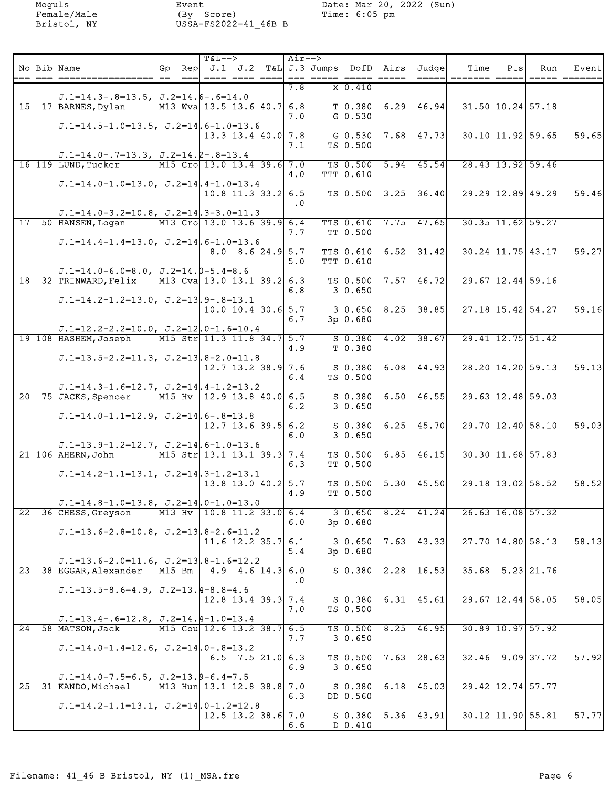|    | No Bib Name         |                                                                                             | Gp Rep $J.1$ J.2 T&L J.3 Jumps DofD Airs Judge | $T&L--$ |                                      | Air-->    |           |                    |                            | Time                                           | Pts | Run<br>$=$ ==== $=$ ===== | Eventl |
|----|---------------------|---------------------------------------------------------------------------------------------|------------------------------------------------|---------|--------------------------------------|-----------|-----------|--------------------|----------------------------|------------------------------------------------|-----|---------------------------|--------|
|    |                     | $J.1=14.3-.8=13.5$ , $J.2=14.6-.6=14.0$                                                     |                                                |         |                                      | 7.8       | $X$ 0.410 |                    |                            |                                                |     |                           |        |
|    |                     | 15 17 BARNES, Dylan                                                                         | M13 Wva 13.5 13.6 40.7 6.8                     |         |                                      |           | $T$ 0.380 | 6.29               | 46.94                      |                                                |     | $31.50$ $10.24$ $57.18$   |        |
|    |                     |                                                                                             |                                                |         |                                      | 7.0       | $G_0.530$ |                    |                            |                                                |     |                           |        |
|    |                     | $J.1=14.5-1.0=13.5$ , $J.2=14$ , $6-1.0=13.6$                                               |                                                |         |                                      |           |           |                    |                            |                                                |     |                           |        |
|    |                     |                                                                                             |                                                |         | $13.3$ 13.4 40.0 7.8                 | 7.1       | TS 0.500  |                    | G 0.530 7.68 47.73         |                                                |     | 30.10 11.92 59.65         | 59.65  |
|    |                     | $J.1=14.0-.7=13.3, J.2=14.2-.8=13.4$                                                        |                                                |         |                                      |           |           |                    |                            |                                                |     |                           |        |
|    | 16 119 LUND, Tucker |                                                                                             | M15 Cro 13.0 13.4 39.6 7.0                     |         |                                      |           |           |                    | $TS$ 0.500 5.94 45.54      |                                                |     | 28.43 13.92 59.46         |        |
|    |                     |                                                                                             |                                                |         |                                      | 4.0       | TTT 0.610 |                    |                            |                                                |     |                           |        |
|    |                     | $J.1=14.0-1.0=13.0$ , $J.2=14$ , $4-1.0=13.4$                                               |                                                |         | $10.8$ 11.3 33.2 6.5                 |           |           |                    | TS $0.500$ $3.25$ $36.40$  | 29.29 12.89 49.29                              |     |                           | 59.46  |
|    |                     |                                                                                             |                                                |         |                                      | $\cdot$ 0 |           |                    |                            |                                                |     |                           |        |
|    |                     | $J.1=14.0-3.2=10.8$ , $J.2=14.3-3.0=11.3$                                                   |                                                |         |                                      |           |           |                    |                            |                                                |     |                           |        |
| 17 |                     | 50 HANSEN, Logan                                                                            | M13 Cro 13.0 13.6 39.9 6.4                     |         |                                      | 7.7       | TT 0.500  |                    | TTS $0.610$ 7.75 47.65     |                                                |     | $30.35$ 11.62 59.27       |        |
|    |                     | $J.1=14.4-1.4=13.0$ , $J.2=14$ , $6-1.0=13.6$                                               |                                                |         |                                      |           |           |                    |                            |                                                |     |                           |        |
|    |                     |                                                                                             |                                                |         | $8.0 \quad 8.6 \quad 24.9 \quad 5.7$ |           |           |                    |                            | TTS $0.610 \quad 6.52$ 31.42 30.24 11.75 43.17 |     |                           | 59.27  |
|    |                     |                                                                                             |                                                |         |                                      | 5.0       | TTT 0.610 |                    |                            |                                                |     |                           |        |
|    |                     | $J.1=14.0-6.0=8.0$ , $J.2=14.0-5.4=8.6$<br>18 32 TRINWARD, Felix M13 Cva 13.0 13.1 39.2 6.3 |                                                |         |                                      |           |           |                    | $TS$ 0.500 7.57 46.72      |                                                |     | 29.67 12.44 59.16         |        |
|    |                     |                                                                                             |                                                |         |                                      | 6.8       | 3 0.650   |                    |                            |                                                |     |                           |        |
|    |                     | $J.1=14.2-1.2=13.0$ , $J.2=13,9-.8=13.1$                                                    |                                                |         |                                      |           |           |                    |                            |                                                |     |                           |        |
|    |                     |                                                                                             |                                                |         | $10.0$ 10.4 30.6 5.7                 | 6.7       | 3p 0.680  |                    | $3 \t0.650 \t8.25$ 38.85   | 27.18 15.42 54.27                              |     |                           | 59.16  |
|    |                     | $J.1=12.2-2.2=10.0$ , $J.2=12.0-1.6=10.4$                                                   |                                                |         |                                      |           |           |                    |                            |                                                |     |                           |        |
|    |                     | 19 108 HASHEM, Joseph                                                                       | M15 Str 11.3 11.8 34.7 5.7                     |         |                                      |           |           |                    | $S$ 0.380 4.02 38.67       |                                                |     | 29.41 12.75 51.42         |        |
|    |                     |                                                                                             |                                                |         |                                      | 4.9       | T 0.380   |                    |                            |                                                |     |                           |        |
|    |                     | $J.1=13.5-2.2=11.3$ , $J.2=13.8-2.0=11.8$                                                   |                                                |         | $12.7$ 13.2 38.9 7.6                 |           |           |                    | $S$ 0.380 6.08 44.93       | 28.20 14.20 59.13                              |     |                           | 59.13  |
|    |                     |                                                                                             |                                                |         |                                      | 6.4       | TS 0.500  |                    |                            |                                                |     |                           |        |
|    |                     | $J.1=14.3-1.6=12.7$ , $J.2=14.4-1.2=13.2$                                                   |                                                |         |                                      |           |           |                    |                            |                                                |     |                           |        |
|    |                     | 20 75 JACKS, Spencer                                                                        | M15 Hv 12.9 13.8 40.0 6.5                      |         |                                      | 6.2       |           |                    | $S$ 0.380 6.50 46.55       |                                                |     | 29.63 12.48 59.03         |        |
|    |                     | $J.1=14.0-1.1=12.9$ , $J.2=14$ , $6-.8=13.8$                                                |                                                |         |                                      |           | 30.650    |                    |                            |                                                |     |                           |        |
|    |                     |                                                                                             |                                                |         | $12.7$ 13.6 39.5 6.2                 |           |           |                    | $S$ 0.380 6.25 45.70       | 29.70 12.40 58.10                              |     |                           | 59.03  |
|    |                     |                                                                                             |                                                |         |                                      | 6.0       | 30.650    |                    |                            |                                                |     |                           |        |
|    | 21 106 AHERN, John  | $J.1=13.9-1.2=12.7$ , $J.2=14$ , $6-1.0=13.6$                                               | M15 Str 13.1 13.1 39.3 7.4                     |         |                                      |           |           |                    | $TS$ 0.500 6.85 46.15      |                                                |     | 30.30 11.68 57.83         |        |
|    |                     |                                                                                             |                                                |         |                                      | 6.3       | TT 0.500  |                    |                            |                                                |     |                           |        |
|    |                     | $J.1=14.2-1.1=13.1$ , $J.2=14.3-1.2=13.1$                                                   |                                                |         |                                      |           |           |                    |                            |                                                |     |                           |        |
|    |                     |                                                                                             |                                                |         | $13.8$ 13.0 40.2 5.7                 | 4.9       | TT 0.500  |                    | $TS$ 0.500 5.30 45.50      | 29.18 13.02 58.52                              |     |                           | 58.52  |
|    |                     | $J.1=14.8-1.0=13.8$ , $J.2=14$ , $0-1.0=13.0$                                               |                                                |         |                                      |           |           |                    |                            |                                                |     |                           |        |
| 22 |                     | 36 CHESS, Greyson                                                                           | M13 Hv $ 10.8 11.2 33.0  6.4$                  |         |                                      |           |           | $3 \t0.650 \t8.24$ | 41.24                      |                                                |     | 26.63 16.08 57.32         |        |
|    |                     |                                                                                             |                                                |         |                                      | 6.0       | 3p 0.680  |                    |                            |                                                |     |                           |        |
|    |                     | $J.1=13.6-2.8=10.8$ , $J.2=13.8-2.6=11.2$                                                   |                                                |         | $11.6$ 12.2 35.7 6.1                 |           |           |                    | $3 \t0.650 \t7.63 \t43.33$ |                                                |     | 27.70 14.80 58.13         | 58.13  |
|    |                     |                                                                                             |                                                |         |                                      | 5.4       | 3p 0.680  |                    |                            |                                                |     |                           |        |
|    |                     | $J.1=13.6-2.0=11.6$ , $J.2=13$ , $8-1.6=12.2$                                               |                                                |         |                                      |           |           |                    |                            |                                                |     |                           |        |
| 23 |                     | 38 EGGAR, Alexander                                                                         | M15 Bm                                         |         | $4.9$ $4.6$ $14.3$ 6.0               | $\cdot$ 0 |           |                    | $S$ 0.380 2.28 16.53       |                                                |     | $35.68$ $5.23$ 21.76      |        |
|    |                     | $J.1=13.5-8.6=4.9$ , $J.2=13.4-8.8=4.6$                                                     |                                                |         |                                      |           |           |                    |                            |                                                |     |                           |        |
|    |                     |                                                                                             |                                                |         | $12.8$ 13.4 39.3 7.4                 |           |           |                    | $S$ 0.380 6.31 45.61       |                                                |     | $29.67$ 12.44 58.05       | 58.05  |
|    |                     |                                                                                             |                                                |         |                                      | 7.0       | TS 0.500  |                    |                            |                                                |     |                           |        |
| 24 | 58 MATSON, Jack     | $J.1=13.4-.6=12.8$ , $J.2=14.4-1.0=13.4$                                                    | M15 Gou 12.6 13.2 38.7 6.5                     |         |                                      |           |           |                    | TS $0.500$ $8.25$ $46.95$  |                                                |     | 30.89 10.97 57.92         |        |
|    |                     |                                                                                             |                                                |         |                                      | 7.7       | 30.650    |                    |                            |                                                |     |                           |        |
|    |                     | $J.1=14.0-1.4=12.6$ , $J.2=14$ , $0-.8=13.2$                                                |                                                |         |                                      |           |           |                    |                            |                                                |     |                           |        |
|    |                     |                                                                                             |                                                |         | 6.5 7.5 21.0 6.3                     | 6.9       | 30.650    |                    | TS $0.500$ 7.63 28.63      |                                                |     | $32.46$ 9.09 37.72        | 57.92  |
|    |                     | $J.1=14.0-7.5=6.5$ , $J.2=13.9-6.4=7.5$                                                     |                                                |         |                                      |           |           |                    |                            |                                                |     |                           |        |
| 25 |                     | 31 KANDO, Michael                                                                           | M13 Hun 13.1 12.8 38.8 7.0                     |         |                                      |           | $S$ 0.380 | 6.18               | 45.03                      |                                                |     | 29.42 12.74 57.77         |        |
|    |                     |                                                                                             |                                                |         |                                      | 6.3       | DD 0.560  |                    |                            |                                                |     |                           |        |
|    |                     | $J.1=14.2-1.1=13.1$ , $J.2=14$ , $0-1.2=12.8$                                               |                                                |         | $12.5$ 13.2 38.6 7.0                 |           |           |                    | $S$ 0.380 5.36 43.91       |                                                |     | $30.12$ 11.90 55.81       | 57.77  |
|    |                     |                                                                                             |                                                |         |                                      | 6.6       | D 0.410   |                    |                            |                                                |     |                           |        |
|    |                     |                                                                                             |                                                |         |                                      |           |           |                    |                            |                                                |     |                           |        |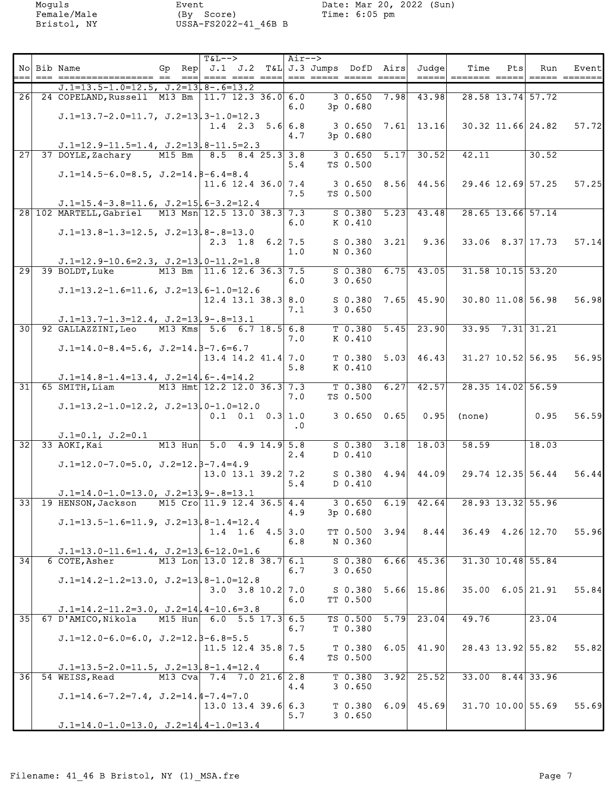|                 | No Bib Name                                                                                   | Gp Rep $J.1$ J.2 T&L J.3 Jumps DofD Airs Judge                  | $T&L--$ |                                    | Air-->    |                    |                           | Time                                         | Pts                      | Run                                                                                    | Eventl                                              |
|-----------------|-----------------------------------------------------------------------------------------------|-----------------------------------------------------------------|---------|------------------------------------|-----------|--------------------|---------------------------|----------------------------------------------|--------------------------|----------------------------------------------------------------------------------------|-----------------------------------------------------|
|                 | ---- ------------------ -- --  ---- ---- ----  --- ----- ---- ---- ----                       |                                                                 |         |                                    |           |                    |                           | ______ _______________                       |                          | $\begin{tabular}{ll} \bf -= & \bf -= & \bf -= & \bf -= & \bf -= & \bf - \end{tabular}$ |                                                     |
|                 | $J.1=13.5-1.0=12.5$ , $J.2=13.8-.6=13.2$<br>26 24 COPELAND, Russell M13 Bm 11.7 12.3 36.0 6.0 |                                                                 |         |                                    |           |                    | $30.650$ $7.98$ $43.98$   |                                              | 28.58 13.74 57.72        |                                                                                        |                                                     |
|                 |                                                                                               |                                                                 |         |                                    | 6.0       | 3p 0.680           |                           |                                              |                          |                                                                                        |                                                     |
|                 | $J.1=13.7-2.0=11.7$ , $J.2=13.3-1.0=12.3$                                                     |                                                                 |         | $1.4$ 2.3 5.6 6.8                  |           |                    |                           |                                              |                          |                                                                                        | $3\,0.650\,7.61\,13.16\,30.32\,11.66\,24.82\,57.72$ |
|                 |                                                                                               |                                                                 |         |                                    | 4.7       | $3p$ 0.680         |                           |                                              |                          |                                                                                        |                                                     |
| $\overline{27}$ | $J.1=12.9-11.5=1.4$ , $J.2=13.8-11.5=2.3$<br>37 DOYLE, Zachary                                | $M15$ Bm $8.5$ 8.4 25.3 3.8                                     |         |                                    |           | 30.650             | $5.17$ 30.52              | 42.11                                        |                          | 30.52                                                                                  |                                                     |
|                 |                                                                                               |                                                                 |         |                                    | 5.4       | TS 0.500           |                           |                                              |                          |                                                                                        |                                                     |
|                 | $J.1=14.5-6.0=8.5$ , $J.2=14.8-6.4=8.4$                                                       |                                                                 |         | 11.6 12.4 36.0 7.4                 |           |                    |                           | $3\,0.650\,8.56\,44.56\,29.46\,12.69\,57.25$ |                          |                                                                                        |                                                     |
|                 |                                                                                               |                                                                 |         |                                    | 7.5       | TS 0.500           |                           |                                              |                          |                                                                                        | 57.25                                               |
|                 | $J.1=15.4-3.8=11.6$ , $J.2=15$ , $6-3.2=12.4$                                                 |                                                                 |         |                                    |           |                    |                           |                                              |                          |                                                                                        |                                                     |
|                 | 28 102 MARTELL, Gabriel M13 Msn 12.5 13.0 38.3 7.3                                            |                                                                 |         |                                    |           | $S$ 0.380 5.23     | 43.48                     |                                              | $28.65$ 13.66 57.14      |                                                                                        |                                                     |
|                 | $J.1=13.8-1.3=12.5$ , $J.2=13.8-.8=13.0$                                                      |                                                                 |         |                                    | 6.0       | K 0.410            |                           |                                              |                          |                                                                                        |                                                     |
|                 |                                                                                               |                                                                 |         | $2.3$ 1.8 6.2 7.5                  |           |                    |                           | $S$ 0.380 3.21 9.36 33.06 8.37 17.73         |                          |                                                                                        | 57.14                                               |
|                 |                                                                                               |                                                                 |         |                                    | 1.0       | N 0.360            |                           |                                              |                          |                                                                                        |                                                     |
|                 | $J.1=12.9-10.6=2.3$ , $J.2=13.0-11.2=1.8$<br>29 39 BOLDT, Luke                                | M13 Bm 11.6 12.6 36.3 7.5                                       |         |                                    |           |                    | $S$ 0.380 6.75 43.05      |                                              | $31.58$ $10.15$ $53.20$  |                                                                                        |                                                     |
|                 |                                                                                               |                                                                 |         |                                    | 6.0       | 30.650             |                           |                                              |                          |                                                                                        |                                                     |
|                 | $J.1=13.2-1.6=11.6$ , $J.2=13.6-1.0=12.6$                                                     |                                                                 |         | $12.4$ 13.1 38.3 8.0               |           |                    | $S$ 0.380 7.65 45.90      | $30.80$ $11.08$ $56.98$                      |                          |                                                                                        | 56.98                                               |
|                 |                                                                                               |                                                                 |         |                                    | 7.1       | 30.650             |                           |                                              |                          |                                                                                        |                                                     |
|                 | $J.1=13.7-1.3=12.4$ , $J.2=13$ , $9-.8=13.1$                                                  |                                                                 |         |                                    |           |                    |                           |                                              |                          |                                                                                        |                                                     |
|                 | 30 92 GALLAZZINI, Leo M13 Kms 5.6 6.7 18.5 6.8                                                |                                                                 |         |                                    | 7.0       | K 0.410            | $T$ 0.380 5.45 23.90      |                                              | $33.95$ $7.31$ $31.21$   |                                                                                        |                                                     |
|                 | $J.1=14.0-8.4=5.6$ , $J.2=14.5-7.6=6.7$                                                       |                                                                 |         |                                    |           |                    |                           |                                              |                          |                                                                                        |                                                     |
|                 |                                                                                               |                                                                 |         | $13.4$ 14.2 41.4 7.0               |           |                    | $T$ 0.380 5.03 46.43      | 31.27 10.52 56.95                            |                          |                                                                                        | 56.95                                               |
|                 | $J.1=14.8-1.4=13.4$ , $J.2=14$ , $6-.4=14.2$                                                  |                                                                 |         |                                    | 5.8       | K 0.410            |                           |                                              |                          |                                                                                        |                                                     |
| $\overline{31}$ | 65 SMITH, Liam                                                                                | M13 Hmt 12.2 12.0 36.3 7.3                                      |         |                                    |           | $T$ 0.380 6.27     | 42.57                     |                                              | 28.35 14.02 56.59        |                                                                                        |                                                     |
|                 |                                                                                               |                                                                 |         |                                    | 7.0       | TS 0.500           |                           |                                              |                          |                                                                                        |                                                     |
|                 | $J.1=13.2-1.0=12.2$ , $J.2=13$ , $0-1.0=12.0$                                                 |                                                                 |         | $0.1 \quad 0.1 \quad 0.3 \mid 1.0$ |           | $3 \t0.650 \t0.65$ | 0.95                      | (none)                                       |                          | 0.95                                                                                   | 56.59                                               |
|                 |                                                                                               |                                                                 |         |                                    | $\cdot$ 0 |                    |                           |                                              |                          |                                                                                        |                                                     |
|                 | $J.1=0.1, J.2=0.1$                                                                            |                                                                 |         |                                    |           |                    |                           |                                              |                          |                                                                                        |                                                     |
|                 | $32$ 33 AOKI, Kai                                                                             | M13 Hun 5.0 4.9 14.9 5.8                                        |         |                                    | 2.4       | D 0.410            | $S$ 0.380 3.18 18.03      | 58.59                                        |                          | 18.03                                                                                  |                                                     |
|                 | $J.D.=12.0-7.0=5.0, J.Z.=12.8-7.4=4.9$                                                        |                                                                 |         |                                    |           |                    |                           |                                              |                          |                                                                                        |                                                     |
|                 |                                                                                               |                                                                 |         | 13.0 13.1 39.2 7.2                 |           |                    | $S$ 0.380 4.94 44.09      |                                              |                          | 29.74 12.35 56.44                                                                      | 56.44                                               |
|                 | $J.1=14.0-1.0=13.0$ , $J.2=13.9-.8=13.1$                                                      |                                                                 |         |                                    | 5.4       | D 0.410            |                           |                                              |                          |                                                                                        |                                                     |
|                 | 33 19 HENSON, Jackson                                                                         | M15 Cro 11.9 12.4 36.5 4.4 3 0.650 6.19 42.64 28.93 13.32 55.96 |         |                                    |           |                    |                           |                                              |                          |                                                                                        |                                                     |
|                 |                                                                                               |                                                                 |         |                                    | 4.9       | 3p 0.680           |                           |                                              |                          |                                                                                        |                                                     |
|                 | $J.1=13.5-1.6=11.9$ , $J.2=13.8-1.4=12.4$                                                     |                                                                 |         | 1.4 1.6 $4.5$ 3.0                  |           | TT $0.500$ 3.94    | 8.44                      |                                              | $36.49$ $4.26$ 12.70     |                                                                                        | 55.96                                               |
|                 |                                                                                               |                                                                 |         |                                    | 6.8       | N 0.360            |                           |                                              |                          |                                                                                        |                                                     |
| 34              | $J.1=13.0-11.6=1.4$ , $J.2=13$ , $6-12.0=1.6$                                                 | M13 Lon 13.0 12.8 38.7 6.1                                      |         |                                    |           | $S$ 0.380          | $6.66$ 45.36              |                                              | $31.30$ $10.48$ 55.84    |                                                                                        |                                                     |
|                 | 6 COTE, Asher                                                                                 |                                                                 |         |                                    | 6.7       | 30.650             |                           |                                              |                          |                                                                                        |                                                     |
|                 | $J.1=14.2-1.2=13.0$ , $J.2=13$ , $8-1.0=12.8$                                                 |                                                                 |         |                                    |           |                    |                           |                                              |                          |                                                                                        |                                                     |
|                 |                                                                                               |                                                                 |         | 3.0 3.8 10.2 7.0                   | 6.0       | TT 0.500           | $S$ 0.380 5.66 15.86      |                                              | $35.00 \quad 6.05$ 21.91 |                                                                                        | 55.84                                               |
|                 | $J.1=14.2-11.2=3.0$ , $J.2=14$ , $4-10.6=3.8$                                                 |                                                                 |         |                                    |           |                    |                           |                                              |                          |                                                                                        |                                                     |
| 35              | 67 D'AMICO,Nikola                                                                             | M15 Hun 6.0 5.5 17.3 6.5                                        |         |                                    |           |                    | TS $0.500$ $5.79$ $23.04$ | 49.76                                        |                          | 23.04                                                                                  |                                                     |
|                 | $J.D.=12.0-6.0=6.0, J.D.=12.8-6.8=5.5$                                                        |                                                                 |         |                                    | 6.7       | T 0.380            |                           |                                              |                          |                                                                                        |                                                     |
|                 |                                                                                               |                                                                 |         | $11.5$ 12.4 35.8 7.5               |           |                    | $T$ 0.380 6.05 41.90      |                                              | 28.43 13.92 55.82        |                                                                                        | 55.82                                               |
|                 |                                                                                               |                                                                 |         |                                    | 6.4       | TS 0.500           |                           |                                              |                          |                                                                                        |                                                     |
| - 361           | $J.1=13.5-2.0=11.5$ , $J.2=13.8-1.4=12.4$<br>54 WEISS, Read                                   | M13 Cva 7.4 7.0 21.6 2.8                                        |         |                                    |           |                    | $T$ 0.380 3.92 25.52      |                                              | $33.00$ $8.44$ 33.96     |                                                                                        |                                                     |
|                 |                                                                                               |                                                                 |         |                                    | 4.4       | 30.650             |                           |                                              |                          |                                                                                        |                                                     |
|                 | $J.1=14.6-7.2=7.4$ , $J.2=14.4-7.4=7.0$                                                       |                                                                 |         |                                    |           |                    |                           |                                              |                          |                                                                                        | 55.69                                               |
|                 |                                                                                               |                                                                 |         | $13.0$ 13.4 39.6 6.3               | 5.7       | 30.650             | $T$ 0.380 6.09 45.69      |                                              | 31.70 10.00 55.69        |                                                                                        |                                                     |
|                 | $J.1=14.0-1.0=13.0$ , $J.2=14$ , $4-1.0=13.4$                                                 |                                                                 |         |                                    |           |                    |                           |                                              |                          |                                                                                        |                                                     |
|                 |                                                                                               |                                                                 |         |                                    |           |                    |                           |                                              |                          |                                                                                        |                                                     |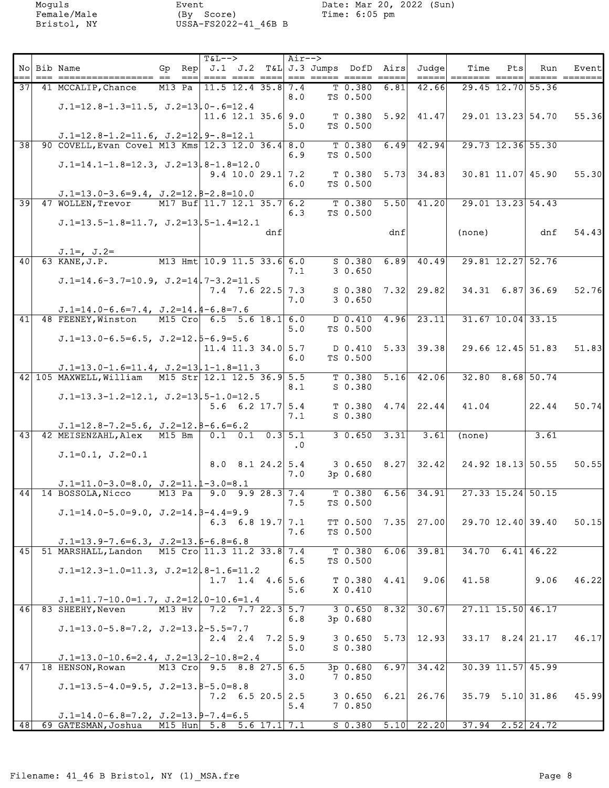| ===             | No Bib Name                                                                                      | Gp Rep $J.1$ J.2 T&L J.3 Jumps DofD Airs<br>$==$ | $T&L--$ | ==== ==== ====                       |     | Air-->    |                    |      | Judge <br>$=$ $=$ $=$ $=$ $\pm$ | Time<br>$=$ ====== ===== | Pts | Run                    | Eventl |
|-----------------|--------------------------------------------------------------------------------------------------|--------------------------------------------------|---------|--------------------------------------|-----|-----------|--------------------|------|---------------------------------|--------------------------|-----|------------------------|--------|
| 371             | 41 MCCALIP, Chance                                                                               | M13 Pa   11.5 12.4 35.8 7.4                      |         |                                      |     |           | $T$ 0.380          | 6.81 | 42.66                           |                          |     | 29.45 12.70 55.36      |        |
|                 |                                                                                                  |                                                  |         |                                      |     | 8.0       | TS 0.500           |      |                                 |                          |     |                        |        |
|                 | $J.1=12.8-1.3=11.5$ , $J.2=13$ , $0-.6=12.4$                                                     |                                                  |         | $11.6$ 12.1 35.6 9.0                 |     |           | $T$ 0.380 5.92     |      | 41.47                           |                          |     | 29.01 13.23 54.70      | 55.36  |
|                 |                                                                                                  |                                                  |         |                                      |     | 5.0       | TS 0.500           |      |                                 |                          |     |                        |        |
| $\overline{38}$ | $J.1=12.8-1.2=11.6$ , $J.2=12$ , $9-.8=12.1$<br>90 COVELL, Evan Covel M13 Kms 12.3 12.0 36.4 8.0 |                                                  |         |                                      |     |           | $T$ 0.380          |      | $6.49$ $42.94$                  |                          |     | 29.73 12.36 55.30      |        |
|                 |                                                                                                  |                                                  |         |                                      |     | 6.9       | TS 0.500           |      |                                 |                          |     |                        |        |
|                 | $J.1=14.1-1.8=12.3$ , $J.2=13.8-1.8=12.0$                                                        |                                                  |         | $9.4$ 10.0 29.1 7.2                  |     |           |                    |      | $T$ 0.380 5.73 34.83            |                          |     | 30.81 11.07 45.90      | 55.30  |
|                 |                                                                                                  |                                                  |         |                                      |     | 6.0       | TS 0.500           |      |                                 |                          |     |                        |        |
| $\overline{39}$ | $J.1=13.0-3.6=9.4$ , $J.2=12.8-2.8=10.0$<br>47 WOLLEN, Trevor                                    | M17 Buf 11.7 12.1 35.7 6.2                       |         |                                      |     |           | $T$ 0.380          | 5.50 | 41.20                           |                          |     | 29.01 13.23 54.43      |        |
|                 |                                                                                                  |                                                  |         |                                      |     | 6.3       | TS 0.500           |      |                                 |                          |     |                        |        |
|                 | $J.1=13.5-1.8=11.7$ , $J.2=13$ , $5-1.4=12.1$                                                    |                                                  |         |                                      | dnf |           |                    | dnf  |                                 | (none)                   |     | dnf                    | 54.43  |
|                 |                                                                                                  |                                                  |         |                                      |     |           |                    |      |                                 |                          |     |                        |        |
| 40              | $J.1=$ , $J.2=$<br>63 KANE, J.P.                                                                 | M13 Hmt 10.9 11.5 33.6 6.0                       |         |                                      |     |           | $S$ 0.380          |      | $6.89$ 40.49                    |                          |     | 29.81 12.27 52.76      |        |
|                 |                                                                                                  |                                                  |         |                                      |     | 7.1       | 30.650             |      |                                 |                          |     |                        |        |
|                 | $J.1=14.6-3.7=10.9$ , $J.2=14$ , $7-3.2=11.5$                                                    |                                                  |         | $7.4$ $7.6$ 22.5 7.3                 |     |           |                    |      | $S$ 0.380 7.32 29.82            |                          |     | $34.31$ 6.87 36.69     | 52.76  |
|                 |                                                                                                  |                                                  |         |                                      |     | 7.0       | 30.650             |      |                                 |                          |     |                        |        |
| 41              | $J.1=14.0-6.6=7.4$ , $J.2=14.4-6.8=7.6$<br>48 FEENEY, Winston                                    | M15 Cro 6.5 5.6 18.1 6.0                         |         |                                      |     |           | $D$ 0.410          |      | $4.96$ 23.11                    |                          |     | $31.67$ 10.04 33.15    |        |
|                 |                                                                                                  |                                                  |         |                                      |     | 5.0       | TS 0.500           |      |                                 |                          |     |                        |        |
|                 | $J.1=13.0-6.5=6.5$ , $J.2=12.5-6.9=5.6$                                                          |                                                  |         | $11.4$ 11.3 34.0 5.7                 |     |           |                    |      | $D$ 0.410 5.33 39.38            |                          |     | $29.66$ 12.45 51.83    | 51.83  |
|                 |                                                                                                  |                                                  |         |                                      |     | 6.0       | TS 0.500           |      |                                 |                          |     |                        |        |
|                 | $J.1=13.0-1.6=11.4$ , $J.2=13.1-1.8=11.3$<br>42 105 MAXWELL, William M15 Str 12.1 12.5 36.9 5.5  |                                                  |         |                                      |     |           |                    |      | $T$ 0.380 5.16 42.06            |                          |     | $32.80$ 8.68 50.74     |        |
|                 |                                                                                                  |                                                  |         |                                      |     | 8.1       | S 0.380            |      |                                 |                          |     |                        |        |
|                 | $J.1=13.3-1.2=12.1$ , $J.2=13.5-1.0=12.5$                                                        |                                                  |         | $5.6 \t6.2 \t17.7 \t5.4$             |     |           |                    |      | $T$ 0.380 4.74 22.44            | 41.04                    |     | 22.44                  | 50.74  |
|                 |                                                                                                  |                                                  |         |                                      |     | 7.1       | S 0.380            |      |                                 |                          |     |                        |        |
| 43              | $J.1=12.8-7.2=5.6$ , $J.2=12.8-6.6=6.2$<br>42 MEISENZAHL, Alex M15 Bm                            |                                                  |         | $0.1$ 0.1 0.3 5.1                    |     |           | $30.650$ $3.31$    |      | 3.61                            | (none)                   |     | 3.61                   |        |
|                 |                                                                                                  |                                                  |         |                                      |     | $\cdot$ 0 |                    |      |                                 |                          |     |                        |        |
|                 | $J.1=0.1, J.2=0.1$                                                                               |                                                  |         | $8.0 \quad 8.1 \quad 24.2 \quad 5.4$ |     |           |                    |      | $3 \t0.650 \t8.27 \t32.42$      |                          |     | 24.92 18.13 50.55      | 50.55  |
|                 |                                                                                                  |                                                  |         |                                      |     | 7.0       | 3p 0.680           |      |                                 |                          |     |                        |        |
| 44              | $J.1=11.0-3.0=8.0$ , $J.2=11.1-3.0=8.1$<br>14 BOSSOLA, Nicco                                     | $M13$ Pa                                         |         | $9.0$ $9.9$ $28.3$ $7.4$             |     |           |                    |      | $T$ 0.380 6.56 34.91            |                          |     | $27.33$ 15.24 50.15    |        |
|                 |                                                                                                  |                                                  |         |                                      |     | 7.5       | TS 0.500           |      |                                 |                          |     |                        |        |
|                 | $J.1=14.0-5.0=9.0$ , $J.2=14.5-4.4=9.9$                                                          |                                                  |         | 6.3 6.8 19.7 7.1                     |     |           |                    |      | TT $0.500$ 7.35 27.00           |                          |     | 29.70 12.40 39.40      | 50.15  |
|                 |                                                                                                  |                                                  |         |                                      |     | 7.6       | TS 0.500           |      |                                 |                          |     |                        |        |
| 45              | $J.1=13.9-7.6=6.3$ , $J.2=13.6-6.8=6.8$<br>51 MARSHALL, Landon                                   | M15 Cro 11.3 11.2 33.8 7.4                       |         |                                      |     |           | T 0.380            | 6.06 | 39.81                           |                          |     | $34.70$ 6.41 46.22     |        |
|                 |                                                                                                  |                                                  |         |                                      |     | 6.5       | TS 0.500           |      |                                 |                          |     |                        |        |
|                 | $J.1=12.3-1.0=11.3$ , $J.2=12$ , $8-1.6=11.2$                                                    |                                                  |         | $1.7$ 1.4 4.6 5.6                    |     |           | $T$ 0.380 4.41     |      | 9.06                            | 41.58                    |     | 9.06                   | 46.22  |
|                 |                                                                                                  |                                                  |         |                                      |     | 5.6       | X 0.410            |      |                                 |                          |     |                        |        |
| 46              | $J.1=11.7-10.0=1.7$ , $J.2=12$ , $0-10.6=1.4$<br>83 SHEEHY, Neven                                | M13 Hv                                           |         | $7.2$ $7.7$ $22.3$ $5.7$             |     |           | $30.650$ 8.32      |      | 30.67                           |                          |     | 27.11 15.50 46.17      |        |
|                 |                                                                                                  |                                                  |         |                                      |     | 6.8       | 3p 0.680           |      |                                 |                          |     |                        |        |
|                 | $J.1=13.0-5.8=7.2$ , $J.2=13.2-5.5=7.7$                                                          |                                                  |         | $2.4$ $2.4$ $7.2$ $5.9$              |     |           |                    |      | $3 \t0.650 \t5.73 \t12.93$      |                          |     | $33.17$ $8.24$ 21.17   | 46.17  |
|                 |                                                                                                  |                                                  |         |                                      |     | 5.0       | S 0.380            |      |                                 |                          |     |                        |        |
| 47              | $J.1=13.0-10.6=2.4$ , $J.2=13$ , $2-10.8=2.4$<br>18 HENSON, Rowan                                | M13 Cro 9.5 8.8 27.5 6.5                         |         |                                      |     |           | $3p$ 0.680         | 6.97 | 34.42                           |                          |     | $30.39$ 11.57 45.99    |        |
|                 |                                                                                                  |                                                  |         |                                      |     | 3.0       | 7 0.850            |      |                                 |                          |     |                        |        |
|                 | $J.1=13.5-4.0=9.5$ , $J.2=13.8-5.0=8.8$                                                          |                                                  |         | $7.2 \quad 6.5 \quad 20.5 \quad 2.5$ |     |           | $3 \t0.650 \t6.21$ |      | 26.76                           |                          |     | $35.79$ $5.10$ $31.86$ | 45.99  |
|                 |                                                                                                  |                                                  |         |                                      |     | 5.4       | 7 0.850            |      |                                 |                          |     |                        |        |
|                 | $J.1=14.0-6.8=7.2$ , $J.2=13.9-7.4=6.5$<br>48 69 GATESMAN, Joshua                                | M15 Hun $5.8$ 5.6 17.1 7.1                       |         |                                      |     |           |                    |      | $S$ 0.380 5.10 22.20            |                          |     | $37.94$ $2.52$ $24.72$ |        |
|                 |                                                                                                  |                                                  |         |                                      |     |           |                    |      |                                 |                          |     |                        |        |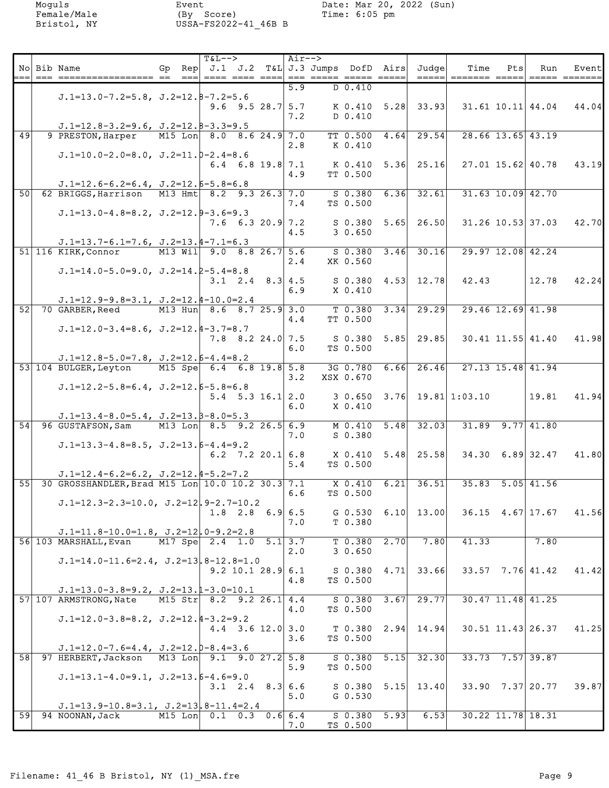|    | No Bib Name                                                                                    |                          | $T&L-->$<br><u>'---  ---- ---- ----  --- ----- ----- ---- -----</u> |                          | Air--> |                            |      | Gp Rep $J.1$ J.2 T&L J.3 Jumps DofD Airs Judge | Time<br>=====  ======= =====           | Pts | Run                     | Eventl |
|----|------------------------------------------------------------------------------------------------|--------------------------|---------------------------------------------------------------------|--------------------------|--------|----------------------------|------|------------------------------------------------|----------------------------------------|-----|-------------------------|--------|
|    | $J.1=13.0-7.2=5.8$ , $J.2=12.8-7.2=5.6$                                                        |                          |                                                                     |                          | 5.9    | $D$ 0.410                  |      |                                                |                                        |     |                         |        |
|    |                                                                                                |                          |                                                                     | 9.6 9.5 28.7 $5.7$       |        |                            |      | K 0.410 5.28 33.93                             |                                        |     | $31.61$ $10.11$ $44.04$ | 44.041 |
|    | $J.1=12.8-3.2=9.6$ , $J.2=12.8-3.3=9.5$                                                        |                          |                                                                     |                          | 7.2    | D 0.410                    |      |                                                |                                        |     |                         |        |
| 49 | 9 PRESTON, Harper                                                                              | M15 Lon 8.0 8.6 24.9 7.0 |                                                                     |                          | 2.8    | <b>TT 0.500</b><br>K 0.410 |      | $4.64$ 29.54                                   |                                        |     | $28.66$ 13.65 43.19     |        |
|    | $J.1=10.0-2.0=8.0$ , $J.2=11.0-2.4=8.6$                                                        |                          |                                                                     | $6.4$ 6.8 19.8 7.1       |        |                            |      | $K$ 0.410 5.36 25.16                           |                                        |     | 27.01 15.62 40.78       | 43.19  |
|    |                                                                                                |                          |                                                                     |                          | 4.9    | TT 0.500                   |      |                                                |                                        |     |                         |        |
| 50 | $J.1=12.6-6.2=6.4$ , $J.2=12.6-5.8=6.8$<br>62 BRIGGS, Harrison M13 Hmt 8.2 9.3 26.3 7.0        |                          |                                                                     |                          |        | $S$ 0.380                  |      | $6.36$ 32.61                                   |                                        |     | $31.63$ $10.09$ $42.70$ |        |
|    | $J.1=13.0-4.8=8.2$ , $J.2=12.9-3.6=9.3$                                                        |                          |                                                                     |                          | 7.4    | TS 0.500                   |      |                                                |                                        |     |                         |        |
|    |                                                                                                |                          |                                                                     | $7.6$ 6.3 20.9 7.2       | 4.5    | 3 0.650                    |      | $S$ 0.380 5.65 26.50                           |                                        |     | 31.26 10.53 37.03       | 42.70  |
|    | $J.1=13.7-6.1=7.6$ , $J.2=13.4-7.1=6.3$                                                        |                          | M13 Wil 9.0 8.8 26.7 5.6                                            |                          |        |                            |      |                                                |                                        |     |                         |        |
|    | 51 116 KIRK, Connor                                                                            |                          |                                                                     |                          | 2.4    | XK 0.560                   |      | $S$ 0.380 3.46 30.16                           |                                        |     | 29.97 12.08 42.24       |        |
|    | $J.1=14.0-5.0=9.0$ , $J.2=14.2-5.4=8.8$                                                        |                          |                                                                     | 3.1 2.4 8.3 4.5          |        |                            |      | $S$ 0.380 4.53 12.78                           | 42.43                                  |     | 12.78                   | 42.24  |
|    | $J.1=12.9-9.8=3.1$ , $J.2=12.4-10.0=2.4$                                                       |                          |                                                                     |                          | 6.9    | X 0.410                    |      |                                                |                                        |     |                         |        |
| 52 | 70 GARBER, Reed                                                                                |                          | M13 Hun 8.6 8.7 25.9 3.0                                            |                          |        | $T$ 0.380<br>TT 0.500      | 3.34 | 29.29                                          |                                        |     | 29.46 12.69 41.98       |        |
|    | $J.1=12.0-3.4=8.6$ , $J.2=12.4-3.7=8.7$                                                        |                          |                                                                     |                          | 4.4    |                            |      |                                                |                                        |     |                         |        |
|    |                                                                                                |                          |                                                                     | $7.8$ $8.2$ $24.0$ 7.5   | 6.0    | TS 0.500                   |      | $S$ 0.380 5.85 29.85                           |                                        |     | $30.41$ 11.55 41.40     | 41.98  |
|    | $J.1=12.8-5.0=7.8$ , $J.2=12.6-4.4=8.2$                                                        |                          |                                                                     |                          |        |                            |      |                                                |                                        |     |                         |        |
|    | 53 104 BULGER, Leyton                                                                          | M15 Spe 6.4 6.8 19.8 5.8 |                                                                     |                          | 3.2    | 3G 0.780<br>XSX 0.670      |      | $6.66$ 26.46                                   |                                        |     | 27.13 15.48 41.94       |        |
|    | $J.1=12.2-5.8=6.4$ , $J.2=12.6-5.8=6.8$                                                        |                          |                                                                     | $5.4$ $5.3$ $16.1$ $2.0$ |        |                            |      |                                                | $3\;\;0.650\;\;3.76\;\;19.81\;1:03.10$ |     | 19.81                   | 41.94  |
|    | $J.1=13.4-8.0=5.4$ , $J.2=13.5-8.0=5.3$                                                        |                          |                                                                     |                          | 6.0    | X 0.410                    |      |                                                |                                        |     |                         |        |
|    | 54 96 GUSTAFSON, Sam                                                                           | M13 Lon 8.5 9.2 26.5 6.9 |                                                                     |                          |        |                            |      | M 0.410 5.48 32.03                             |                                        |     | $31.89$ $9.77$ $41.80$  |        |
|    | $J.1=13.3-4.8=8.5$ , $J.2=13.6-4.4=9.2$                                                        |                          |                                                                     |                          | 7.0    | S 0.380                    |      |                                                |                                        |     |                         |        |
|    |                                                                                                |                          |                                                                     | 6.2 7.2 20.1 6.8         | 5.4    | TS 0.500                   |      | $X$ 0.410 5.48 25.58                           |                                        |     | $34.30$ 6.89 32.47      | 41.80  |
|    | $J.1=12.4-6.2=6.2$ , $J.2=12.4-5.2=7.2$<br>55 30 GROSSHANDLER, Brad M15 Lon 10.0 10.2 30.3 7.1 |                          |                                                                     |                          |        | X 0.410                    | 6.21 | 36.51                                          |                                        |     | $35.83$ $5.05$ $41.56$  |        |
|    | $J.1=12.3-2.3=10.0$ , $J.2=12.9-2.7=10.2$                                                      |                          |                                                                     |                          | 6.6    | TS 0.500                   |      |                                                |                                        |     |                         |        |
|    |                                                                                                |                          |                                                                     | $1.8$ 2.8 6.9 6.5        |        |                            |      | G $0.530$ 6.10 13.00                           |                                        |     | $36.15$ 4.67 17.67      | 41.56  |
|    | $J.1=11.8-10.0=1.8$ , $J.2=12$ , $0-9.2=2.8$                                                   |                          |                                                                     |                          | 7.0    | T 0.380                    |      |                                                |                                        |     |                         |        |
|    | 56 103 MARSHALL, Evan                                                                          |                          | M17 Spe 2.4 1.0 5.1 3.7                                             |                          | 2.0    | $T$ 0.380 2.70<br>30.650   |      | 7.80                                           | 41.33                                  |     | 7.80                    |        |
|    | $J.1=14.0-11.6=2.4$ , $J.2=13.8-12.8=1.0$                                                      |                          |                                                                     | $9.2$ 10.1 28.9 6.1      |        |                            |      | $S$ 0.380 4.71 33.66                           |                                        |     | $33.57$ $7.76$ 41.42    | 41.42  |
|    |                                                                                                |                          |                                                                     |                          | 4.8    | TS 0.500                   |      |                                                |                                        |     |                         |        |
|    | $J.1=13.0-3.8=9.2$ , $J.2=13.1-3.0=10.1$<br>57 107 ARMSTRONG, Nate                             |                          | M15 Str 8.2 9.2 26.1 4.4                                            |                          |        | $S$ 0.380 3.67             |      | 29.77                                          |                                        |     | $30.47$ 11.48 41.25     |        |
|    | $J.1=12.0-3.8=8.2$ , $J.2=12.4-3.2=9.2$                                                        |                          |                                                                     |                          | 4.0    | TS 0.500                   |      |                                                |                                        |     |                         |        |
|    |                                                                                                |                          |                                                                     | $4.4$ 3.6 12.0 3.0       | 3.6    | TS 0.500                   |      | $T$ 0.380 2.94 14.94                           |                                        |     | $30.51$ 11.43 26.37     | 41.25  |
|    | $J.1=12.0-7.6=4.4$ , $J.2=12.0-8.4=3.6$                                                        |                          |                                                                     |                          |        |                            |      |                                                |                                        |     |                         |        |
|    | 58 97 HERBERT, Jackson                                                                         | M13 Lon 9.1 9.0 27.2 5.8 |                                                                     |                          | 5.9    | $S$ 0.380 5.15<br>TS 0.500 |      | 32.30                                          |                                        |     | $33.73$ $7.57$ 39.87    |        |
|    | $J.1=13.1-4.0=9.1$ , $J.2=13.6-4.6=9.0$                                                        |                          |                                                                     | $3.1$ 2.4 8.3 6.6        |        |                            |      | $S$ 0.380 5.15 13.40                           |                                        |     | 33.90 7.37 20.77        | 39.87  |
|    | $J.1=13.9-10.8=3.1$ , $J.2=13.8-11.4=2.4$                                                      |                          |                                                                     |                          | 5.0    | $G$ 0.530                  |      |                                                |                                        |     |                         |        |
|    | 59 94 NOONAN, Jack                                                                             |                          | M15 Lon 0.1 0.3 0.6 6.4                                             |                          |        | $S$ 0.380 5.93             |      | 6.53                                           |                                        |     | $30.22$ 11.78 18.31     |        |
|    |                                                                                                |                          |                                                                     |                          | 7.0    | TS 0.500                   |      |                                                |                                        |     |                         |        |